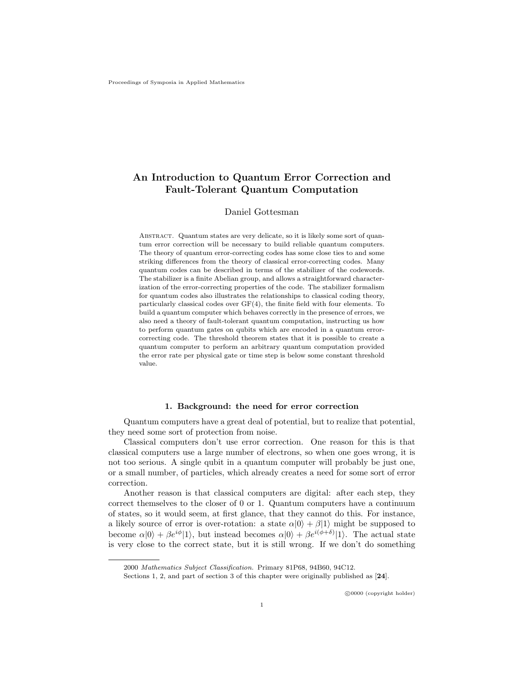# An Introduction to Quantum Error Correction and Fault-Tolerant Quantum Computation

Daniel Gottesman

Abstract. Quantum states are very delicate, so it is likely some sort of quantum error correction will be necessary to build reliable quantum computers. The theory of quantum error-correcting codes has some close ties to and some striking differences from the theory of classical error-correcting codes. Many quantum codes can be described in terms of the stabilizer of the codewords. The stabilizer is a finite Abelian group, and allows a straightforward characterization of the error-correcting properties of the code. The stabilizer formalism for quantum codes also illustrates the relationships to classical coding theory, particularly classical codes over GF(4), the finite field with four elements. To build a quantum computer which behaves correctly in the presence of errors, we also need a theory of fault-tolerant quantum computation, instructing us how to perform quantum gates on qubits which are encoded in a quantum errorcorrecting code. The threshold theorem states that it is possible to create a quantum computer to perform an arbitrary quantum computation provided the error rate per physical gate or time step is below some constant threshold value.

## 1. Background: the need for error correction

Quantum computers have a great deal of potential, but to realize that potential, they need some sort of protection from noise.

Classical computers don't use error correction. One reason for this is that classical computers use a large number of electrons, so when one goes wrong, it is not too serious. A single qubit in a quantum computer will probably be just one, or a small number, of particles, which already creates a need for some sort of error correction.

Another reason is that classical computers are digital: after each step, they correct themselves to the closer of 0 or 1. Quantum computers have a continuum of states, so it would seem, at first glance, that they cannot do this. For instance, a likely source of error is over-rotation: a state  $\alpha|0\rangle + \beta|1\rangle$  might be supposed to become  $\alpha|0\rangle + \beta e^{i\phi}|1\rangle$ , but instead becomes  $\alpha|0\rangle + \beta e^{i(\phi+\delta)}|1\rangle$ . The actual state is very close to the correct state, but it is still wrong. If we don't do something

<sup>2000</sup> Mathematics Subject Classification. Primary 81P68, 94B60, 94C12.

Sections 1, 2, and part of section 3 of this chapter were originally published as [24].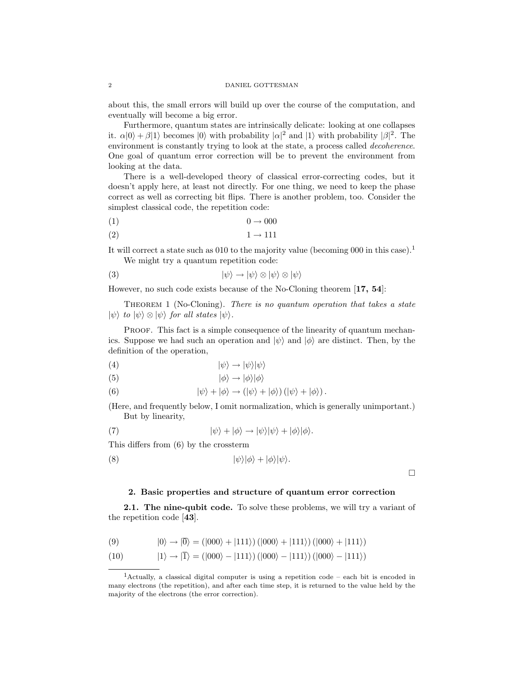about this, the small errors will build up over the course of the computation, and eventually will become a big error.

Furthermore, quantum states are intrinsically delicate: looking at one collapses it.  $\alpha|0\rangle + \beta|1\rangle$  becomes  $|0\rangle$  with probability  $|\alpha|^2$  and  $|1\rangle$  with probability  $|\beta|^2$ . The environment is constantly trying to look at the state, a process called decoherence. One goal of quantum error correction will be to prevent the environment from looking at the data.

There is a well-developed theory of classical error-correcting codes, but it doesn't apply here, at least not directly. For one thing, we need to keep the phase correct as well as correcting bit flips. There is another problem, too. Consider the simplest classical code, the repetition code:

$$
(1) \t\t\t 0 \to 000
$$

(2)  $1 \rightarrow 111$ 

It will correct a state such as  $010$  to the majority value (becoming 000 in this case).<sup>1</sup> We might try a quantum repetition code:

$$
|\psi\rangle \to |\psi\rangle \otimes |\psi\rangle \otimes |\psi\rangle
$$

However, no such code exists because of the No-Cloning theorem [17, 54]:

Theorem 1 (No-Cloning). There is no quantum operation that takes a state  $|\psi\rangle$  to  $|\psi\rangle \otimes |\psi\rangle$  for all states  $|\psi\rangle$ .

Proof. This fact is a simple consequence of the linearity of quantum mechanics. Suppose we had such an operation and  $|\psi\rangle$  and  $|\phi\rangle$  are distinct. Then, by the definition of the operation,

$$
|\psi\rangle \to |\psi\rangle|\psi\rangle
$$

$$
|\phi\rangle \rightarrow |\phi\rangle|\phi\rangle
$$

(6)  $|\psi\rangle + |\phi\rangle \rightarrow (|\psi\rangle + |\phi\rangle) (|\psi\rangle + |\phi\rangle).$ 

(Here, and frequently below, I omit normalization, which is generally unimportant.) But by linearity,

(7) 
$$
|\psi\rangle + |\phi\rangle \rightarrow |\psi\rangle |\psi\rangle + |\phi\rangle |\phi\rangle.
$$

This differs from (6) by the crossterm

$$
|\psi\rangle|\phi\rangle + |\phi\rangle|\psi\rangle.
$$

 $\Box$ 

# 2. Basic properties and structure of quantum error correction

2.1. The nine-qubit code. To solve these problems, we will try a variant of the repetition code [43].

$$
(9) \qquad |0\rangle \rightarrow |\overline{0}\rangle = (|000\rangle + |111\rangle) (|000\rangle + |111\rangle) (|000\rangle + |111\rangle)
$$

(10) 
$$
|1\rangle \rightarrow |\overline{1}\rangle = (|000\rangle - |111\rangle) (|000\rangle - |111\rangle) (|000\rangle - |111\rangle)
$$

<sup>1</sup>Actually, a classical digital computer is using a repetition code – each bit is encoded in many electrons (the repetition), and after each time step, it is returned to the value held by the majority of the electrons (the error correction).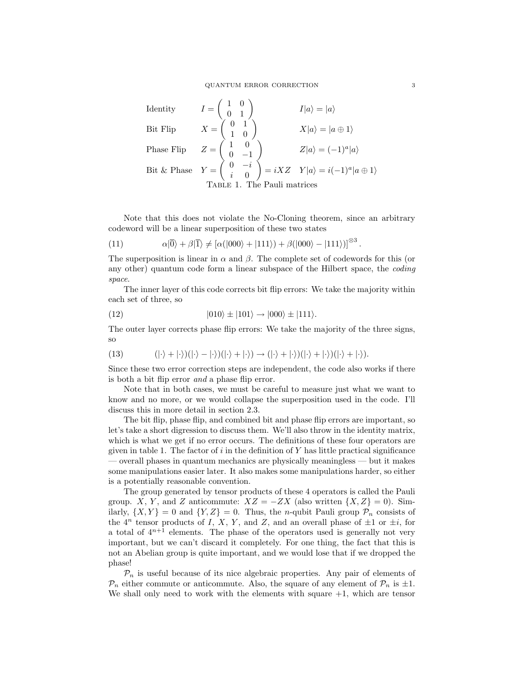Identity 
$$
I = \begin{pmatrix} 1 & 0 \\ 0 & 1 \end{pmatrix}
$$
  $I|a\rangle = |a\rangle$   
\nBit Filip  $X = \begin{pmatrix} 0 & 1 \\ 1 & 0 \end{pmatrix}$   $X|a\rangle = |a \oplus 1\rangle$   
\nPhase Fib  $Z = \begin{pmatrix} 1 & 0 \\ 0 & -1 \end{pmatrix}$   $Z|a\rangle = (-1)^a|a\rangle$   
\nBit & Phase  $Y = \begin{pmatrix} 0 & -i \\ i & 0 \end{pmatrix} = iXZ$   $Y|a\rangle = i(-1)^a|a \oplus 1\rangle$   
\nTABLE 1. The Pauli matrices

Note that this does not violate the No-Cloning theorem, since an arbitrary codeword will be a linear superposition of these two states

(11) 
$$
\alpha|\overline{0}\rangle + \beta|\overline{1}\rangle \neq [\alpha(|000\rangle + |111\rangle) + \beta(|000\rangle - |111\rangle)]^{\otimes 3}
$$

The superposition is linear in  $\alpha$  and  $\beta$ . The complete set of codewords for this (or any other) quantum code form a linear subspace of the Hilbert space, the coding space.

The inner layer of this code corrects bit flip errors: We take the majority within each set of three, so

(12) 
$$
|010\rangle \pm |101\rangle \rightarrow |000\rangle \pm |111\rangle.
$$

The outer layer corrects phase flip errors: We take the majority of the three signs, so

(13) 
$$
(|\cdot\rangle + |\cdot\rangle)(|\cdot\rangle - |\cdot\rangle)(|\cdot\rangle + |\cdot\rangle) \rightarrow (|\cdot\rangle + |\cdot\rangle)(|\cdot\rangle + |\cdot\rangle)(|\cdot\rangle + |\cdot\rangle).
$$

Since these two error correction steps are independent, the code also works if there is both a bit flip error and a phase flip error.

Note that in both cases, we must be careful to measure just what we want to know and no more, or we would collapse the superposition used in the code. I'll discuss this in more detail in section 2.3.

The bit flip, phase flip, and combined bit and phase flip errors are important, so let's take a short digression to discuss them. We'll also throw in the identity matrix, which is what we get if no error occurs. The definitions of these four operators are given in table 1. The factor of i in the definition of Y has little practical significance — overall phases in quantum mechanics are physically meaningless — but it makes some manipulations easier later. It also makes some manipulations harder, so either is a potentially reasonable convention.

The group generated by tensor products of these 4 operators is called the Pauli group. X, Y, and Z anticommute:  $XZ = -ZX$  (also written  $\{X, Z\} = 0$ ). Similarly,  $\{X, Y\} = 0$  and  $\{Y, Z\} = 0$ . Thus, the *n*-qubit Pauli group  $\mathcal{P}_n$  consists of the  $4^n$  tensor products of I, X, Y, and Z, and an overall phase of  $\pm 1$  or  $\pm i$ , for a total of  $4^{n+1}$  elements. The phase of the operators used is generally not very important, but we can't discard it completely. For one thing, the fact that this is not an Abelian group is quite important, and we would lose that if we dropped the phase!

 $\mathcal{P}_n$  is useful because of its nice algebraic properties. Any pair of elements of  $\mathcal{P}_n$  either commute or anticommute. Also, the square of any element of  $\mathcal{P}_n$  is  $\pm 1$ . We shall only need to work with the elements with square  $+1$ , which are tensor

.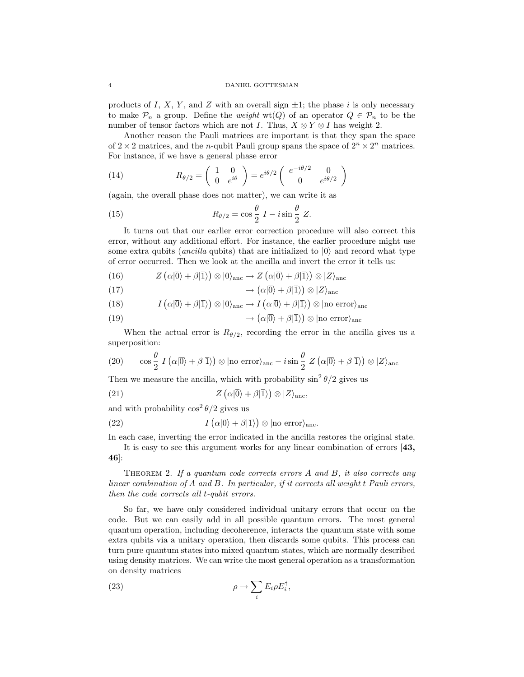products of I, X, Y, and Z with an overall sign  $\pm 1$ ; the phase i is only necessary to make  $\mathcal{P}_n$  a group. Define the *weight* wt(Q) of an operator  $Q \in \mathcal{P}_n$  to be the number of tensor factors which are not I. Thus,  $X \otimes Y \otimes I$  has weight 2.

Another reason the Pauli matrices are important is that they span the space of  $2 \times 2$  matrices, and the *n*-qubit Pauli group spans the space of  $2^n \times 2^n$  matrices. For instance, if we have a general phase error

(14) 
$$
R_{\theta/2} = \begin{pmatrix} 1 & 0 \\ 0 & e^{i\theta} \end{pmatrix} = e^{i\theta/2} \begin{pmatrix} e^{-i\theta/2} & 0 \\ 0 & e^{i\theta/2} \end{pmatrix}
$$

(again, the overall phase does not matter), we can write it as

(15) 
$$
R_{\theta/2} = \cos\frac{\theta}{2} I - i \sin\frac{\theta}{2} Z.
$$

It turns out that our earlier error correction procedure will also correct this error, without any additional effort. For instance, the earlier procedure might use some extra qubits (*ancilla* qubits) that are initialized to  $|0\rangle$  and record what type of error occurred. Then we look at the ancilla and invert the error it tells us:

(16) 
$$
Z(\alpha|\overline{0}\rangle + \beta|\overline{1}\rangle) \otimes |0\rangle_{\text{anc}} \to Z(\alpha|\overline{0}\rangle + \beta|\overline{1}\rangle) \otimes |Z\rangle_{\text{anc}}
$$

(17) 
$$
\rightarrow (\alpha|\overline{0}\rangle + \beta|\overline{1}\rangle) \otimes |Z\rangle_{\text{anc}}
$$

(18) 
$$
I(\alpha|\overline{0}\rangle + \beta|\overline{1}\rangle) \otimes |0\rangle_{\text{anc}} \to I(\alpha|\overline{0}\rangle + \beta|\overline{1}\rangle) \otimes |\text{no error}\rangle_{\text{anc}}
$$

(19) 
$$
\rightarrow (\alpha|\overline{0}\rangle + \beta|\overline{1}\rangle) \otimes |\text{no error}\rangle_{\text{anc}}
$$

When the actual error is  $R_{\theta/2}$ , recording the error in the ancilla gives us a superposition:

(20) 
$$
\cos\frac{\theta}{2} I\left(\alpha|\overline{0}\rangle + \beta|\overline{1}\rangle\right) \otimes |\text{no error}\rangle_{\text{anc}} - i \sin\frac{\theta}{2} Z\left(\alpha|\overline{0}\rangle + \beta|\overline{1}\rangle\right) \otimes |Z\rangle_{\text{anc}}
$$

Then we measure the ancilla, which with probability  $\sin^2 \theta/2$  gives us

(21) 
$$
Z\left(\alpha|\overline{0}\rangle + \beta|\overline{1}\rangle\right) \otimes |Z\rangle_{\text{anc}},
$$

and with probability  $\cos^2 \theta / 2$  gives us

(22) 
$$
I(\alpha|\overline{0}\rangle + \beta|\overline{1}\rangle) \otimes |\text{no error}\rangle_{\text{anc}}.
$$

In each case, inverting the error indicated in the ancilla restores the original state.

It is easy to see this argument works for any linear combination of errors [43, 46]:

THEOREM 2. If a quantum code corrects errors  $A$  and  $B$ , it also corrects any linear combination of A and B. In particular, if it corrects all weight t Pauli errors, then the code corrects all t-qubit errors.

So far, we have only considered individual unitary errors that occur on the code. But we can easily add in all possible quantum errors. The most general quantum operation, including decoherence, interacts the quantum state with some extra qubits via a unitary operation, then discards some qubits. This process can turn pure quantum states into mixed quantum states, which are normally described using density matrices. We can write the most general operation as a transformation on density matrices

(23) 
$$
\rho \to \sum_i E_i \rho E_i^{\dagger},
$$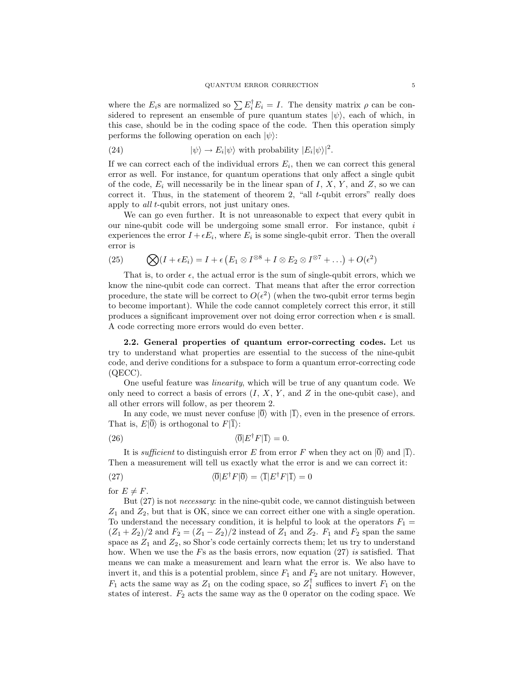where the  $E_i$ s are normalized so  $\sum E_i^{\dagger} E_i = I$ . The density matrix  $\rho$  can be considered to represent an ensemble of pure quantum states  $|\psi\rangle$ , each of which, in this case, should be in the coding space of the code. Then this operation simply performs the following operation on each  $|\psi\rangle$ :

(24) 
$$
|\psi\rangle \to E_i|\psi\rangle \text{ with probability } |E_i|\psi\rangle|^2.
$$

If we can correct each of the individual errors  $E_i$ , then we can correct this general error as well. For instance, for quantum operations that only affect a single qubit of the code,  $E_i$  will necessarily be in the linear span of I, X, Y, and Z, so we can correct it. Thus, in the statement of theorem 2, "all t-qubit errors" really does apply to all t-qubit errors, not just unitary ones.

We can go even further. It is not unreasonable to expect that every qubit in our nine-qubit code will be undergoing some small error. For instance, qubit  $i$ experiences the error  $I + \epsilon E_i$ , where  $E_i$  is some single-qubit error. Then the overall error is

(25) 
$$
\bigotimes (I + \epsilon E_i) = I + \epsilon \left( E_1 \otimes I^{\otimes 8} + I \otimes E_2 \otimes I^{\otimes 7} + \ldots \right) + O(\epsilon^2)
$$

That is, to order  $\epsilon$ , the actual error is the sum of single-qubit errors, which we know the nine-qubit code can correct. That means that after the error correction procedure, the state will be correct to  $O(\epsilon^2)$  (when the two-qubit error terms begin to become important). While the code cannot completely correct this error, it still produces a significant improvement over not doing error correction when  $\epsilon$  is small. A code correcting more errors would do even better.

2.2. General properties of quantum error-correcting codes. Let us try to understand what properties are essential to the success of the nine-qubit code, and derive conditions for a subspace to form a quantum error-correcting code  $(QECC)$ .

One useful feature was linearity, which will be true of any quantum code. We only need to correct a basis of errors  $(I, X, Y, \text{ and } Z$  in the one-qubit case), and all other errors will follow, as per theorem 2.

In any code, we must never confuse  $|\overline{0}\rangle$  with  $|\overline{1}\rangle$ , even in the presence of errors. That is,  $E|\overline{0}\rangle$  is orthogonal to  $F|\overline{1}\rangle$ :

(26) 
$$
\langle \overline{0} | E^{\dagger} F | \overline{1} \rangle = 0.
$$

It is sufficient to distinguish error E from error F when they act on  $\overline{0}$  and  $\overline{1}$ . Then a measurement will tell us exactly what the error is and we can correct it:

(27) 
$$
\langle \overline{0} | E^{\dagger} F | \overline{0} \rangle = \langle \overline{1} | E^{\dagger} F | \overline{1} \rangle = 0
$$

for  $E \neq F$ .

But (27) is not necessary: in the nine-qubit code, we cannot distinguish between  $Z_1$  and  $Z_2$ , but that is OK, since we can correct either one with a single operation. To understand the necessary condition, it is helpful to look at the operators  $F_1 =$  $(Z_1 + Z_2)/2$  and  $F_2 = (Z_1 - Z_2)/2$  instead of  $Z_1$  and  $Z_2$ .  $F_1$  and  $F_2$  span the same space as  $Z_1$  and  $Z_2$ , so Shor's code certainly corrects them; let us try to understand how. When we use the  $Fs$  as the basis errors, now equation  $(27)$  is satisfied. That means we can make a measurement and learn what the error is. We also have to invert it, and this is a potential problem, since  $F_1$  and  $F_2$  are not unitary. However,  $F_1$  acts the same way as  $Z_1$  on the coding space, so  $Z_1^{\dagger}$  suffices to invert  $F_1$  on the states of interest.  $F_2$  acts the same way as the 0 operator on the coding space. We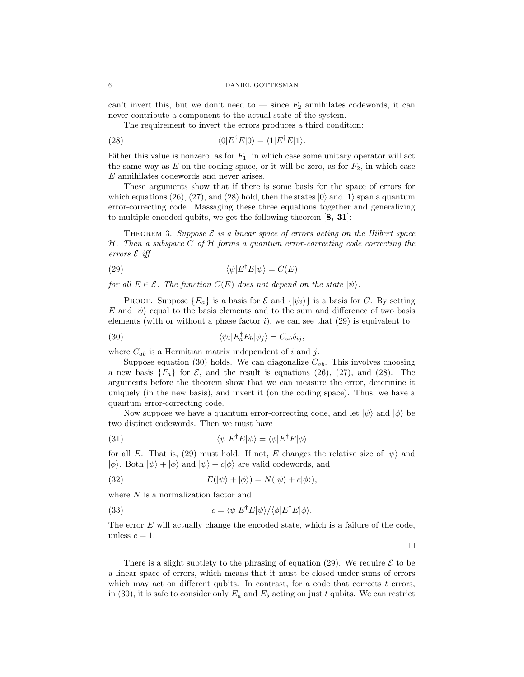can't invert this, but we don't need to — since  $F_2$  annihilates codewords, it can never contribute a component to the actual state of the system.

The requirement to invert the errors produces a third condition:

(28) 
$$
\langle \overline{0} | E^{\dagger} E | \overline{0} \rangle = \langle \overline{1} | E^{\dagger} E | \overline{1} \rangle.
$$

Either this value is nonzero, as for  $F_1$ , in which case some unitary operator will act the same way as  $E$  on the coding space, or it will be zero, as for  $F_2$ , in which case E annihilates codewords and never arises.

These arguments show that if there is some basis for the space of errors for which equations (26), (27), and (28) hold, then the states  $|\overline{0}\rangle$  and  $|\overline{1}\rangle$  span a quantum error-correcting code. Massaging these three equations together and generalizing to multiple encoded qubits, we get the following theorem [8, 31]:

THEOREM 3. Suppose  $\mathcal E$  is a linear space of errors acting on the Hilbert space  $H$ . Then a subspace C of H forms a quantum error-correcting code correcting the errors  $\mathcal E$  iff

(29) 
$$
\langle \psi | E^{\dagger} E | \psi \rangle = C(E)
$$

for all  $E \in \mathcal{E}$ . The function  $C(E)$  does not depend on the state  $|\psi\rangle$ .

PROOF. Suppose  ${E_a}$  is a basis for  $\mathcal E$  and  ${|\psi_i\rangle}$  is a basis for C. By setting E and  $|\psi\rangle$  equal to the basis elements and to the sum and difference of two basis elements (with or without a phase factor  $i$ ), we can see that (29) is equivalent to

(30) 
$$
\langle \psi_i | E_a^{\dagger} E_b | \psi_j \rangle = C_{ab} \delta_{ij},
$$

where  $C_{ab}$  is a Hermitian matrix independent of i and j.

Suppose equation (30) holds. We can diagonalize  $C_{ab}$ . This involves choosing a new basis  ${F_a}$  for  $\mathcal{E}$ , and the result is equations (26), (27), and (28). The arguments before the theorem show that we can measure the error, determine it uniquely (in the new basis), and invert it (on the coding space). Thus, we have a quantum error-correcting code.

Now suppose we have a quantum error-correcting code, and let  $|\psi\rangle$  and  $|\phi\rangle$  be two distinct codewords. Then we must have

(31) 
$$
\langle \psi | E^{\dagger} E | \psi \rangle = \langle \phi | E^{\dagger} E | \phi \rangle
$$

for all E. That is, (29) must hold. If not, E changes the relative size of  $|\psi\rangle$  and  $|\phi\rangle$ . Both  $|\psi\rangle + |\phi\rangle$  and  $|\psi\rangle + c|\phi\rangle$  are valid codewords, and

(32) 
$$
E(|\psi\rangle + |\phi\rangle) = N(|\psi\rangle + c|\phi\rangle),
$$

where  $N$  is a normalization factor and

(33) 
$$
c = \langle \psi | E^{\dagger} E | \psi \rangle / \langle \phi | E^{\dagger} E | \phi \rangle.
$$

The error  $E$  will actually change the encoded state, which is a failure of the code, unless  $c = 1$ .

 $\Box$ 

There is a slight subtlety to the phrasing of equation (29). We require  $\mathcal E$  to be a linear space of errors, which means that it must be closed under sums of errors which may act on different qubits. In contrast, for a code that corrects  $t$  errors, in (30), it is safe to consider only  $E_a$  and  $E_b$  acting on just t qubits. We can restrict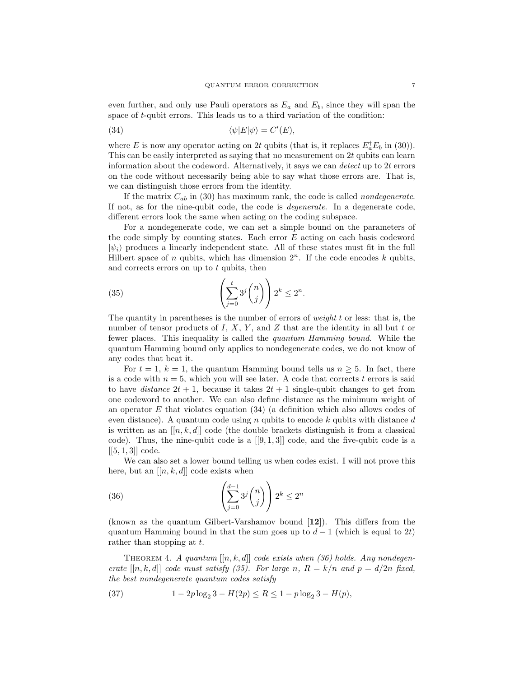even further, and only use Pauli operators as  $E_a$  and  $E_b$ , since they will span the space of t-qubit errors. This leads us to a third variation of the condition:

(34) 
$$
\langle \psi | E | \psi \rangle = C'(E),
$$

where E is now any operator acting on 2t qubits (that is, it replaces  $E_a^{\dagger} E_b$  in (30)). This can be easily interpreted as saying that no measurement on  $2t$  qubits can learn information about the codeword. Alternatively, it says we can detect up to  $2t$  errors on the code without necessarily being able to say what those errors are. That is, we can distinguish those errors from the identity.

If the matrix  $C_{ab}$  in (30) has maximum rank, the code is called *nondegenerate*. If not, as for the nine-qubit code, the code is degenerate. In a degenerate code, different errors look the same when acting on the coding subspace.

For a nondegenerate code, we can set a simple bound on the parameters of the code simply by counting states. Each error  $E$  acting on each basis codeword  $|\psi_i\rangle$  produces a linearly independent state. All of these states must fit in the full Hilbert space of n qubits, which has dimension  $2<sup>n</sup>$ . If the code encodes k qubits, and corrects errors on up to  $t$  qubits, then

(35) 
$$
\left(\sum_{j=0}^{t} 3^{j} {n \choose j} \right) 2^{k} \le 2^{n}.
$$

The quantity in parentheses is the number of errors of *weight* t or less: that is, the number of tensor products of  $I, X, Y$ , and  $Z$  that are the identity in all but  $t$  or fewer places. This inequality is called the quantum Hamming bound. While the quantum Hamming bound only applies to nondegenerate codes, we do not know of any codes that beat it.

For  $t = 1$ ,  $k = 1$ , the quantum Hamming bound tells us  $n \geq 5$ . In fact, there is a code with  $n = 5$ , which you will see later. A code that corrects t errors is said to have *distance*  $2t + 1$ , because it takes  $2t + 1$  single-qubit changes to get from one codeword to another. We can also define distance as the minimum weight of an operator  $E$  that violates equation  $(34)$  (a definition which also allows codes of even distance). A quantum code using n qubits to encode k qubits with distance d is written as an  $[[n, k, d]]$  code (the double brackets distinguish it from a classical code). Thus, the nine-qubit code is a  $[[9,1,3]]$  code, and the five-qubit code is a  $[[5, 1, 3]]$  code.

We can also set a lower bound telling us when codes exist. I will not prove this here, but an  $[[n, k, d]]$  code exists when

(36) 
$$
\left(\sum_{j=0}^{d-1} 3^j \binom{n}{j}\right) 2^k \le 2^n
$$

(known as the quantum Gilbert-Varshamov bound [12]). This differs from the quantum Hamming bound in that the sum goes up to  $d-1$  (which is equal to 2t) rather than stopping at  $t$ .

THEOREM 4. A quantum  $[[n, k, d]]$  code exists when (36) holds. Any nondegenerate  $[[n, k, d]]$  code must satisfy (35). For large n,  $R = k/n$  and  $p = d/2n$  fixed, the best nondegenerate quantum codes satisfy

(37) 
$$
1 - 2p \log_2 3 - H(2p) \le R \le 1 - p \log_2 3 - H(p),
$$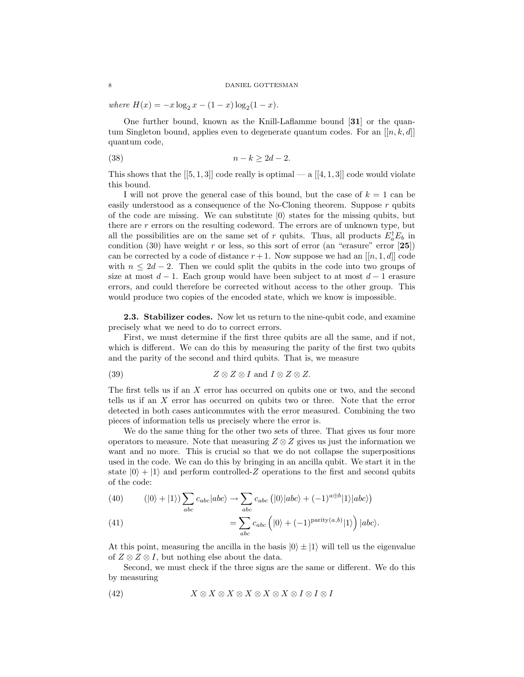where  $H(x) = -x \log_2 x - (1 - x) \log_2 (1 - x)$ .

One further bound, known as the Knill-Laflamme bound [31] or the quantum Singleton bound, applies even to degenerate quantum codes. For an  $[[n, k, d]]$ quantum code,

$$
(38) \t\t\t n-k \ge 2d-2.
$$

This shows that the  $[[5,1,3]]$  code really is optimal — a  $[[4,1,3]]$  code would violate this bound.

I will not prove the general case of this bound, but the case of  $k = 1$  can be easily understood as a consequence of the No-Cloning theorem. Suppose  $r$  qubits of the code are missing. We can substitute  $|0\rangle$  states for the missing qubits, but there are r errors on the resulting codeword. The errors are of unknown type, but all the possibilities are on the same set of r qubits. Thus, all products  $E_a^{\dagger}E_b$  in condition (30) have weight r or less, so this sort of error (an "erasure" error  $[25]$ ) can be corrected by a code of distance  $r+1$ . Now suppose we had an  $[[n, 1, d]]$  code with  $n \leq 2d - 2$ . Then we could split the qubits in the code into two groups of size at most  $d-1$ . Each group would have been subject to at most  $d-1$  erasure errors, and could therefore be corrected without access to the other group. This would produce two copies of the encoded state, which we know is impossible.

2.3. Stabilizer codes. Now let us return to the nine-qubit code, and examine precisely what we need to do to correct errors.

First, we must determine if the first three qubits are all the same, and if not, which is different. We can do this by measuring the parity of the first two qubits and the parity of the second and third qubits. That is, we measure

(39) 
$$
Z \otimes Z \otimes I \text{ and } I \otimes Z \otimes Z.
$$

The first tells us if an X error has occurred on qubits one or two, and the second tells us if an X error has occurred on qubits two or three. Note that the error detected in both cases anticommutes with the error measured. Combining the two pieces of information tells us precisely where the error is.

We do the same thing for the other two sets of three. That gives us four more operators to measure. Note that measuring  $Z \otimes Z$  gives us just the information we want and no more. This is crucial so that we do not collapse the superpositions used in the code. We can do this by bringing in an ancilla qubit. We start it in the state  $|0\rangle + |1\rangle$  and perform controlled-Z operations to the first and second qubits of the code:

(40) 
$$
(|0\rangle + |1\rangle) \sum_{abc} c_{abc} |abc\rangle \rightarrow \sum_{abc} c_{abc} (|0\rangle |abc\rangle + (-1)^{a \oplus b} |1\rangle |abc\rangle)
$$

(41) 
$$
= \sum_{abc} c_{abc} \left( |0\rangle + (-1)^{\text{parity}(a,b)} |1\rangle \right) |abc\rangle.
$$

At this point, measuring the ancilla in the basis  $|0\rangle \pm |1\rangle$  will tell us the eigenvalue of  $Z \otimes Z \otimes I$ , but nothing else about the data.

Second, we must check if the three signs are the same or different. We do this by measuring

(42) 
$$
X \otimes X \otimes X \otimes X \otimes X \otimes X \otimes I \otimes I \otimes I
$$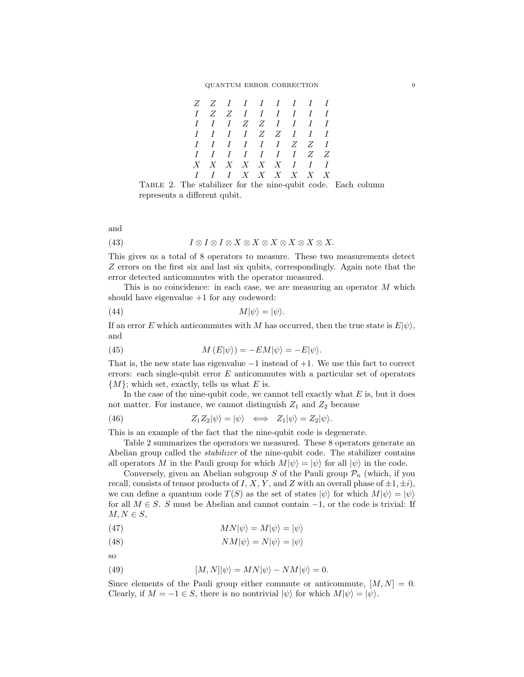|  |  |  | <i>Z Z I I I I I I I</i>                                            |  |
|--|--|--|---------------------------------------------------------------------|--|
|  |  |  | $I \quad Z \quad Z \quad I \quad I \quad I \quad I \quad I$         |  |
|  |  |  | I I I Z Z I I I I                                                   |  |
|  |  |  | $I$ $I$ $I$ $I$ $Z$ $Z$ $I$ $I$ $I$                                 |  |
|  |  |  | $I$ $I$ $I$ $I$ $I$ $I$ $Z$ $Z$ $I$                                 |  |
|  |  |  | $I$ $I$ $I$ $I$ $I$ $I$ $I$ $Z$ $Z$                                 |  |
|  |  |  | $X \quad X \quad X \quad X \quad X \quad X \quad I \quad I \quad I$ |  |
|  |  |  | $I$ $I$ $I$ $X$ $X$ $X$ $X$ $X$ $X$                                 |  |

Table 2. The stabilizer for the nine-qubit code. Each column represents a different qubit.

and

(43) 
$$
I \otimes I \otimes I \otimes X \otimes X \otimes X \otimes X \otimes X.
$$

This gives us a total of 8 operators to measure. These two measurements detect Z errors on the first six and last six qubits, correspondingly. Again note that the error detected anticommutes with the operator measured.

This is no coincidence: in each case, we are measuring an operator M which should have eigenvalue  $+1$  for any codeword:

(44) 
$$
M|\psi\rangle = |\psi\rangle.
$$

If an error E which anticommutes with M has occurred, then the true state is  $E|\psi\rangle$ , and

(45) 
$$
M(E|\psi\rangle) = -EM|\psi\rangle = -E|\psi\rangle.
$$

That is, the new state has eigenvalue  $-1$  instead of  $+1$ . We use this fact to correct errors: each single-qubit error  $E$  anticommutes with a particular set of operators  $\{M\}$ ; which set, exactly, tells us what E is.

In the case of the nine-qubit code, we cannot tell exactly what  $E$  is, but it does not matter. For instance, we cannot distinguish  $Z_1$  and  $Z_2$  because

(46) 
$$
Z_1 Z_2 |\psi\rangle = |\psi\rangle \iff Z_1 |\psi\rangle = Z_2 |\psi\rangle.
$$

This is an example of the fact that the nine-qubit code is degenerate.

Table 2 summarizes the operators we measured. These 8 operators generate an Abelian group called the *stabilizer* of the nine-qubit code. The stabilizer contains all operators M in the Pauli group for which  $M|\psi\rangle = |\psi\rangle$  for all  $|\psi\rangle$  in the code.

Conversely, given an Abelian subgroup S of the Pauli group  $\mathcal{P}_n$  (which, if you recall, consists of tensor products of I, X, Y, and Z with an overall phase of  $\pm 1, \pm i$ ), we can define a quantum code  $T(S)$  as the set of states  $|\psi\rangle$  for which  $M|\psi\rangle = |\psi\rangle$ for all  $M \in S$ . S must be Abelian and cannot contain  $-1$ , or the code is trivial: If  $M, N \in S$ ,

(47) 
$$
MN|\psi\rangle = M|\psi\rangle = |\psi\rangle
$$

(48) 
$$
NM|\psi\rangle = N|\psi\rangle = |\psi\rangle
$$

so

(49) 
$$
[M,N]|\psi\rangle = MN|\psi\rangle - NM|\psi\rangle = 0.
$$

Since elements of the Pauli group either commute or anticommute,  $[M, N] = 0$ . Clearly, if  $M = -1 \in S$ , there is no nontrivial  $|\psi\rangle$  for which  $M|\psi\rangle = |\psi\rangle$ .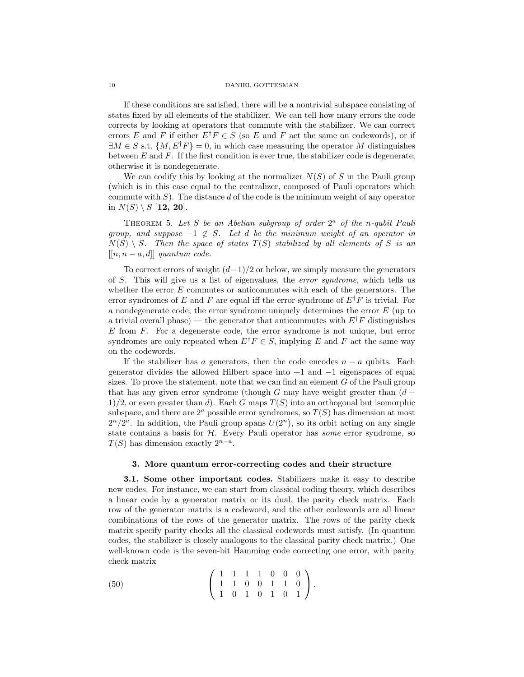If these conditions are satisfied, there will be a nontrivial subspace consisting of states fixed by all elements of the stabilizer. We can tell how many errors the code corrects by looking at operators that commute with the stabilizer. We can correct errors E and F if either  $E^{\dagger}F \in S$  (so E and F act the same on codewords), or if  $\exists M \in S$  s.t.  $\{M, E^{\dagger} F\} = 0$ , in which case measuring the operator M distinguishes between  $E$  and  $F$ . If the first condition is ever true, the stabilizer code is degenerate; otherwise it is nondegenerate.

We can codify this by looking at the normalizer  $N(S)$  of S in the Pauli group (which is in this case equal to the centralizer, composed of Pauli operators which commute with  $S$ ). The distance  $d$  of the code is the minimum weight of any operator in  $N(S) \setminus S$  [12, 20].

THEOREM 5. Let S be an Abelian subgroup of order  $2^a$  of the n-qubit Pauli group, and suppose  $-1 \notin S$ . Let d be the minimum weight of an operator in  $N(S) \setminus S$ . Then the space of states  $T(S)$  stabilized by all elements of S is an  $[[n, n - a, d]]$  quantum code.

To correct errors of weight  $(d-1)/2$  or below, we simply measure the generators of S. This will give us a list of eigenvalues, the error syndrome, which tells us whether the error  $E$  commutes or anticommutes with each of the generators. The error syndromes of E and F are equal iff the error syndrome of  $E^{\dagger}F$  is trivial. For a nondegenerate code, the error syndrome uniquely determines the error  $E$  (up to a trivial overall phase) — the generator that anticommutes with  $E^{\dagger}F$  distinguishes E from F. For a degenerate code, the error syndrome is not unique, but error syndromes are only repeated when  $E^{\dagger}F \in S$ , implying E and F act the same way on the codewords.

If the stabilizer has a generators, then the code encodes  $n - a$  qubits. Each generator divides the allowed Hilbert space into  $+1$  and  $-1$  eigenspaces of equal sizes. To prove the statement, note that we can find an element  $G$  of the Pauli group that has any given error syndrome (though G may have weight greater than  $(d -$ 1)/2, or even greater than d). Each G maps  $T(S)$  into an orthogonal but isomorphic subspace, and there are  $2^a$  possible error syndromes, so  $T(S)$  has dimension at most  $2^{n}/2^{a}$ . In addition, the Pauli group spans  $U(2^{n})$ , so its orbit acting on any single state contains a basis for  $H$ . Every Pauli operator has *some* error syndrome, so  $T(S)$  has dimension exactly  $2^{n-a}$ .

# 3. More quantum error-correcting codes and their structure

3.1. Some other important codes. Stabilizers make it easy to describe new codes. For instance, we can start from classical coding theory, which describes a linear code by a generator matrix or its dual, the parity check matrix. Each row of the generator matrix is a codeword, and the other codewords are all linear combinations of the rows of the generator matrix. The rows of the parity check matrix specify parity checks all the classical codewords must satisfy. (In quantum codes, the stabilizer is closely analogous to the classical parity check matrix.) One well-known code is the seven-bit Hamming code correcting one error, with parity check matrix

$$
(50) \qquad \qquad \begin{pmatrix} 1 & 1 & 1 & 1 & 0 & 0 & 0 \\ 1 & 1 & 0 & 0 & 1 & 1 & 0 \\ 1 & 0 & 1 & 0 & 1 & 0 & 1 \end{pmatrix}.
$$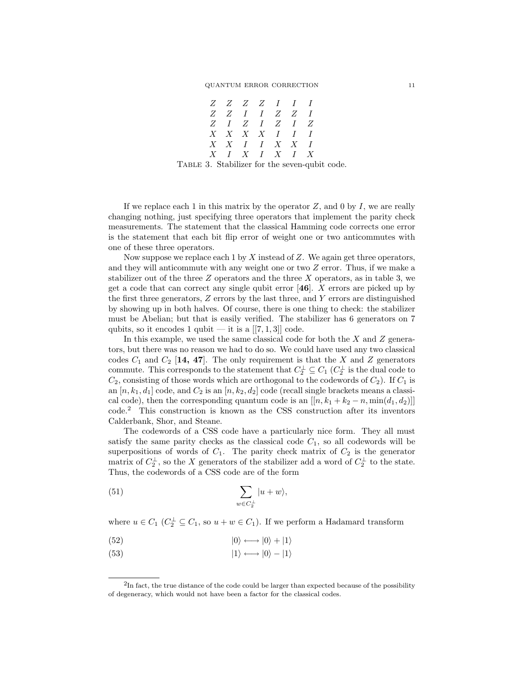|  |  | Z Z Z Z I I I                                       |  |
|--|--|-----------------------------------------------------|--|
|  |  | Z Z I I Z Z I                                       |  |
|  |  | Z I Z I Z I Z                                       |  |
|  |  | $X \quad X \quad X \quad X \quad I \quad I \quad I$ |  |
|  |  | $X \quad X \quad I \quad I \quad X \quad X \quad I$ |  |
|  |  | XIXIXIX                                             |  |

Table 3. Stabilizer for the seven-qubit code.

If we replace each 1 in this matrix by the operator  $Z$ , and 0 by  $I$ , we are really changing nothing, just specifying three operators that implement the parity check measurements. The statement that the classical Hamming code corrects one error is the statement that each bit flip error of weight one or two anticommutes with one of these three operators.

Now suppose we replace each 1 by  $X$  instead of  $Z$ . We again get three operators, and they will anticommute with any weight one or two Z error. Thus, if we make a stabilizer out of the three  $Z$  operators and the three  $X$  operators, as in table 3, we get a code that can correct any single qubit error  $[46]$ . X errors are picked up by the first three generators,  $Z$  errors by the last three, and  $Y$  errors are distinguished by showing up in both halves. Of course, there is one thing to check: the stabilizer must be Abelian; but that is easily verified. The stabilizer has 6 generators on 7 qubits, so it encodes 1 qubit — it is a  $[[7,1,3]]$  code.

In this example, we used the same classical code for both the  $X$  and  $Z$  generators, but there was no reason we had to do so. We could have used any two classical codes  $C_1$  and  $C_2$  [14, 47]. The only requirement is that the X and Z generators commute. This corresponds to the statement that  $C_2^{\perp} \subseteq C_1$   $(C_2^{\perp}$  is the dual code to  $C_2$ , consisting of those words which are orthogonal to the codewords of  $C_2$ ). If  $C_1$  is an  $[n, k_1, d_1]$  code, and  $C_2$  is an  $[n, k_2, d_2]$  code (recall single brackets means a classical code), then the corresponding quantum code is an  $[[n, k_1 + k_2 - n, \min(d_1, d_2)]]$ code.<sup>2</sup> This construction is known as the CSS construction after its inventors Calderbank, Shor, and Steane.

The codewords of a CSS code have a particularly nice form. They all must satisfy the same parity checks as the classical code  $C_1$ , so all codewords will be superpositions of words of  $C_1$ . The parity check matrix of  $C_2$  is the generator matrix of  $C_2^{\perp}$ , so the X generators of the stabilizer add a word of  $C_2^{\perp}$  to the state. Thus, the codewords of a CSS code are of the form

(51) 
$$
\sum_{w \in C_2^{\perp}} |u + w\rangle,
$$

where  $u \in C_1$   $(C_2^{\perp} \subseteq C_1$ , so  $u + w \in C_1$ ). If we perform a Hadamard transform

- $|0\rangle \longleftrightarrow |0\rangle + |1\rangle$
- $(53)$   $|1\rangle \longleftrightarrow |0\rangle |1\rangle$

 ${}^{2}$ In fact, the true distance of the code could be larger than expected because of the possibility of degeneracy, which would not have been a factor for the classical codes.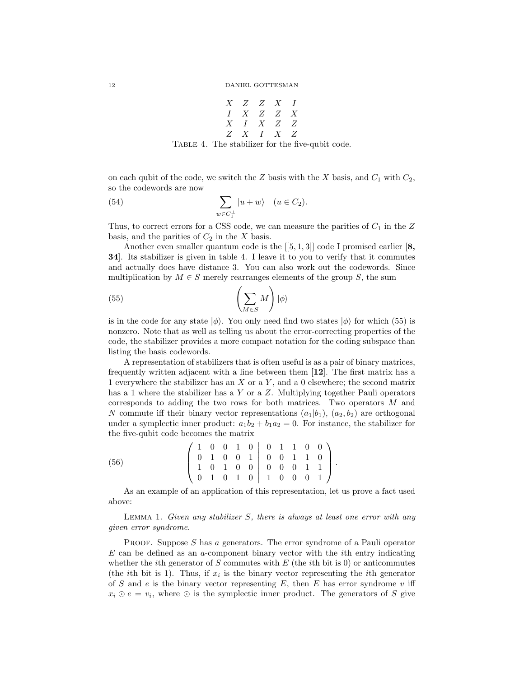$$
\begin{array}{ccccccccc} X & Z & Z & X & I \\ I & X & Z & Z & X \\ X & I & X & Z & Z \\ Z & X & I & X & Z \end{array}
$$

TABLE 4. The stabilizer for the five-qubit code.

on each qubit of the code, we switch the Z basis with the X basis, and  $C_1$  with  $C_2$ , so the codewords are now

(54) 
$$
\sum_{w \in C_{1}^{\perp}} |u + w\rangle \quad (u \in C_{2}).
$$

Thus, to correct errors for a CSS code, we can measure the parities of  $C_1$  in the Z basis, and the parities of  $C_2$  in the X basis.

Another even smaller quantum code is the  $[[5,1,3]]$  code I promised earlier [8, 34]. Its stabilizer is given in table 4. I leave it to you to verify that it commutes and actually does have distance 3. You can also work out the codewords. Since multiplication by  $M \in S$  merely rearranges elements of the group S, the sum

$$
\left(\sum_{M\in S} M\right)|\phi\rangle
$$

is in the code for any state  $|\phi\rangle$ . You only need find two states  $|\phi\rangle$  for which (55) is nonzero. Note that as well as telling us about the error-correcting properties of the code, the stabilizer provides a more compact notation for the coding subspace than listing the basis codewords.

A representation of stabilizers that is often useful is as a pair of binary matrices, frequently written adjacent with a line between them [12]. The first matrix has a 1 everywhere the stabilizer has an  $X$  or a  $Y$ , and a 0 elsewhere; the second matrix has a 1 where the stabilizer has a Y or a Z. Multiplying together Pauli operators corresponds to adding the two rows for both matrices. Two operators M and N commute iff their binary vector representations  $(a_1|b_1)$ ,  $(a_2, b_2)$  are orthogonal under a symplectic inner product:  $a_1b_2 + b_1a_2 = 0$ . For instance, the stabilizer for the five-qubit code becomes the matrix

(56) 
$$
\left(\begin{array}{cccc|c}1 & 0 & 0 & 1 & 0 & 0 & 1 & 1 & 0 & 0\\0 & 1 & 0 & 0 & 1 & 0 & 0 & 1 & 1 & 0\\1 & 0 & 1 & 0 & 0 & 0 & 0 & 0 & 1 & 1\\0 & 1 & 0 & 1 & 0 & 1 & 0 & 0 & 0 & 1\end{array}\right).
$$

As an example of an application of this representation, let us prove a fact used above:

LEMMA 1. Given any stabilizer  $S$ , there is always at least one error with any given error syndrome.

**PROOF.** Suppose S has a generators. The error syndrome of a Pauli operator  $E$  can be defined as an *a*-component binary vector with the *i*th entry indicating whether the *i*th generator of S commutes with  $E$  (the *i*th bit is 0) or anticommutes (the *i*th bit is 1). Thus, if  $x_i$  is the binary vector representing the *i*th generator of S and e is the binary vector representing E, then E has error syndrome  $v$  iff  $x_i \odot e = v_i$ , where  $\odot$  is the symplectic inner product. The generators of S give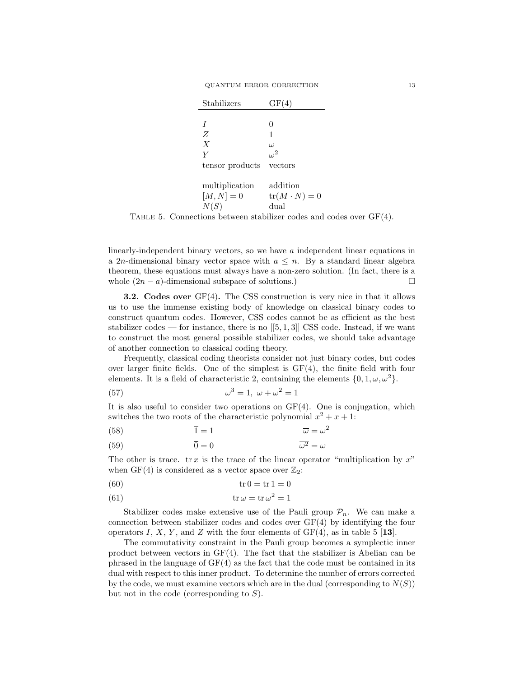| Stabilizers      | GF(4)                              |
|------------------|------------------------------------|
|                  |                                    |
| I                | 0                                  |
| Ζ                | 1                                  |
| $\boldsymbol{X}$ | $\omega$                           |
| V                | $\sqrt{2}$                         |
| tensor products  | vectors                            |
|                  |                                    |
| multiplication   | addition                           |
| $[M, N] = 0$     | $\text{tr}(M\cdot \overline{N})=0$ |
| N(S)             | dual                               |

TABLE 5. Connections between stabilizer codes and codes over  $GF(4)$ .

linearly-independent binary vectors, so we have a independent linear equations in a 2n-dimensional binary vector space with  $a \leq n$ . By a standard linear algebra theorem, these equations must always have a non-zero solution. (In fact, there is a whole  $(2n - a)$ -dimensional subspace of solutions.)

3.2. Codes over GF(4). The CSS construction is very nice in that it allows us to use the immense existing body of knowledge on classical binary codes to construct quantum codes. However, CSS codes cannot be as efficient as the best stabilizer codes — for instance, there is no  $[[5,1,3]]$  CSS code. Instead, if we want to construct the most general possible stabilizer codes, we should take advantage of another connection to classical coding theory.

Frequently, classical coding theorists consider not just binary codes, but codes over larger finite fields. One of the simplest is  $GF(4)$ , the finite field with four elements. It is a field of characteristic 2, containing the elements  $\{0, 1, \omega, \omega^2\}$ .

$$
\omega^3 = 1, \ \omega + \omega^2 = 1
$$

It is also useful to consider two operations on  $GF(4)$ . One is conjugation, which switches the two roots of the characteristic polynomial  $x^2 + x + 1$ :

(58) 
$$
\overline{1} = 1 \qquad \qquad \overline{\omega} = \omega^2
$$

(59) 
$$
\overline{0} = 0 \qquad \overline{\omega^2} = \omega
$$

The other is trace. tr x is the trace of the linear operator "multiplication by  $x$ " when GF(4) is considered as a vector space over  $\mathbb{Z}_2$ :

tr 0 = tr 1 = 0(60)

(61) 
$$
\operatorname{tr} \omega = \operatorname{tr} \omega^2 = 1
$$

Stabilizer codes make extensive use of the Pauli group  $\mathcal{P}_n$ . We can make a connection between stabilizer codes and codes over GF(4) by identifying the four operators I, X, Y, and Z with the four elements of  $GF(4)$ , as in table 5 [13].

The commutativity constraint in the Pauli group becomes a symplectic inner product between vectors in GF(4). The fact that the stabilizer is Abelian can be phrased in the language of GF(4) as the fact that the code must be contained in its dual with respect to this inner product. To determine the number of errors corrected by the code, we must examine vectors which are in the dual (corresponding to  $N(S)$ ) but not in the code (corresponding to  $S$ ).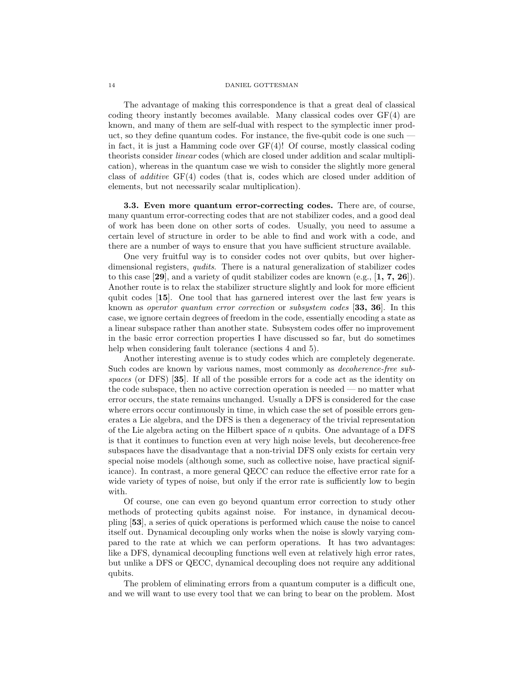The advantage of making this correspondence is that a great deal of classical coding theory instantly becomes available. Many classical codes over  $GF(4)$  are known, and many of them are self-dual with respect to the symplectic inner product, so they define quantum codes. For instance, the five-qubit code is one such in fact, it is just a Hamming code over  $GF(4)$ ! Of course, mostly classical coding theorists consider linear codes (which are closed under addition and scalar multiplication), whereas in the quantum case we wish to consider the slightly more general class of additive GF(4) codes (that is, codes which are closed under addition of elements, but not necessarily scalar multiplication).

3.3. Even more quantum error-correcting codes. There are, of course, many quantum error-correcting codes that are not stabilizer codes, and a good deal of work has been done on other sorts of codes. Usually, you need to assume a certain level of structure in order to be able to find and work with a code, and there are a number of ways to ensure that you have sufficient structure available.

One very fruitful way is to consider codes not over qubits, but over higherdimensional registers, qudits. There is a natural generalization of stabilizer codes to this case [29], and a variety of qudit stabilizer codes are known (e.g.,  $[1, 7, 26]$ ). Another route is to relax the stabilizer structure slightly and look for more efficient qubit codes [15]. One tool that has garnered interest over the last few years is known as operator quantum error correction or subsystem codes [33, 36]. In this case, we ignore certain degrees of freedom in the code, essentially encoding a state as a linear subspace rather than another state. Subsystem codes offer no improvement in the basic error correction properties I have discussed so far, but do sometimes help when considering fault tolerance (sections 4 and 5).

Another interesting avenue is to study codes which are completely degenerate. Such codes are known by various names, most commonly as decoherence-free subspaces (or DFS) [35]. If all of the possible errors for a code act as the identity on the code subspace, then no active correction operation is needed — no matter what error occurs, the state remains unchanged. Usually a DFS is considered for the case where errors occur continuously in time, in which case the set of possible errors generates a Lie algebra, and the DFS is then a degeneracy of the trivial representation of the Lie algebra acting on the Hilbert space of n qubits. One advantage of a DFS is that it continues to function even at very high noise levels, but decoherence-free subspaces have the disadvantage that a non-trivial DFS only exists for certain very special noise models (although some, such as collective noise, have practical significance). In contrast, a more general QECC can reduce the effective error rate for a wide variety of types of noise, but only if the error rate is sufficiently low to begin with.

Of course, one can even go beyond quantum error correction to study other methods of protecting qubits against noise. For instance, in dynamical decoupling [53], a series of quick operations is performed which cause the noise to cancel itself out. Dynamical decoupling only works when the noise is slowly varying compared to the rate at which we can perform operations. It has two advantages: like a DFS, dynamical decoupling functions well even at relatively high error rates, but unlike a DFS or QECC, dynamical decoupling does not require any additional qubits.

The problem of eliminating errors from a quantum computer is a difficult one, and we will want to use every tool that we can bring to bear on the problem. Most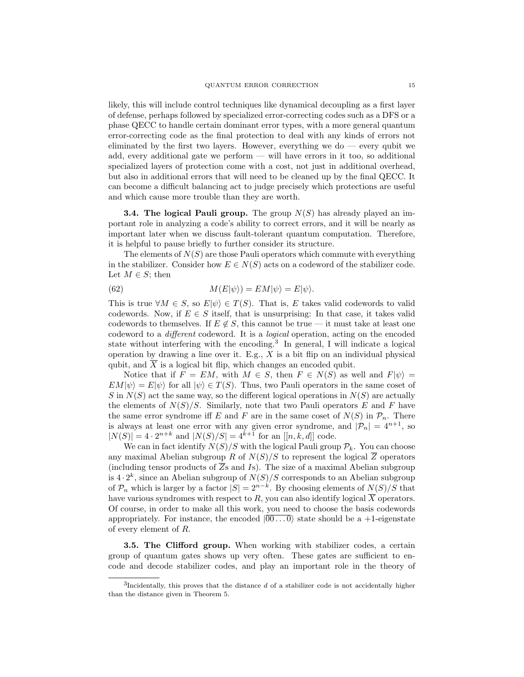likely, this will include control techniques like dynamical decoupling as a first layer of defense, perhaps followed by specialized error-correcting codes such as a DFS or a phase QECC to handle certain dominant error types, with a more general quantum error-correcting code as the final protection to deal with any kinds of errors not eliminated by the first two layers. However, everything we do — every qubit we add, every additional gate we perform — will have errors in it too, so additional specialized layers of protection come with a cost, not just in additional overhead, but also in additional errors that will need to be cleaned up by the final QECC. It can become a difficult balancing act to judge precisely which protections are useful and which cause more trouble than they are worth.

**3.4. The logical Pauli group.** The group  $N(S)$  has already played an important role in analyzing a code's ability to correct errors, and it will be nearly as important later when we discuss fault-tolerant quantum computation. Therefore, it is helpful to pause briefly to further consider its structure.

The elements of  $N(S)$  are those Pauli operators which commute with everything in the stabilizer. Consider how  $E \in N(S)$  acts on a codeword of the stabilizer code. Let  $M \in S$ ; then

(62) 
$$
M(E|\psi\rangle) = EM|\psi\rangle = E|\psi\rangle.
$$

This is true  $\forall M \in S$ , so  $E|\psi\rangle \in T(S)$ . That is, E takes valid codewords to valid codewords. Now, if  $E \in S$  itself, that is unsurprising: In that case, it takes valid codewords to themselves. If  $E \notin S$ , this cannot be true — it must take at least one codeword to a different codeword. It is a logical operation, acting on the encoded state without interfering with the encoding.<sup>3</sup> In general, I will indicate a logical operation by drawing a line over it. E.g.,  $X$  is a bit flip on an individual physical qubit, and  $\overline{X}$  is a logical bit flip, which changes an encoded qubit.

Notice that if  $F = EM$ , with  $M \in S$ , then  $F \in N(S)$  as well and  $F|\psi\rangle =$  $EM|\psi\rangle = E|\psi\rangle$  for all  $|\psi\rangle \in T(S)$ . Thus, two Pauli operators in the same coset of S in  $N(S)$  act the same way, so the different logical operations in  $N(S)$  are actually the elements of  $N(S)/S$ . Similarly, note that two Pauli operators E and F have the same error syndrome iff E and F are in the same coset of  $N(S)$  in  $\mathcal{P}_n$ . There is always at least one error with any given error syndrome, and  $|\mathcal{P}_n| = 4^{n+1}$ , so  $|N(S)| = 4 \cdot 2^{n+k}$  and  $|N(S)/S| = 4^{k+1}$  for an  $[[n, k, d]]$  code.

We can in fact identify  $N(S)/S$  with the logical Pauli group  $\mathcal{P}_k$ . You can choose any maximal Abelian subgroup R of  $N(S)/S$  to represent the logical  $\overline{Z}$  operators (including tensor products of  $\overline{Z}_s$  and Is). The size of a maximal Abelian subgroup is  $4 \cdot 2^k$ , since an Abelian subgroup of  $N(S)/S$  corresponds to an Abelian subgroup of  $\mathcal{P}_n$  which is larger by a factor  $|S| = 2^{n-k}$ . By choosing elements of  $N(S)/S$  that have various syndromes with respect to R, you can also identify logical  $\overline{X}$  operators. Of course, in order to make all this work, you need to choose the basis codewords appropriately. For instance, the encoded  $|00...0\rangle$  state should be a +1-eigenstate of every element of R.

3.5. The Clifford group. When working with stabilizer codes, a certain group of quantum gates shows up very often. These gates are sufficient to encode and decode stabilizer codes, and play an important role in the theory of

 $3$ Incidentally, this proves that the distance  $d$  of a stabilizer code is not accidentally higher than the distance given in Theorem 5.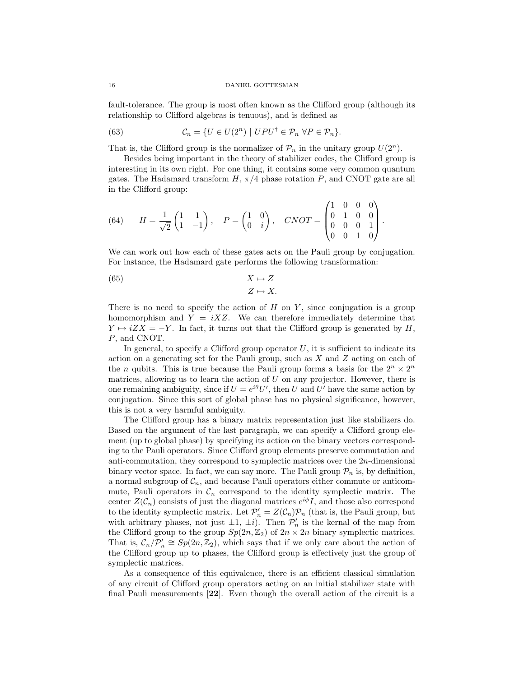fault-tolerance. The group is most often known as the Clifford group (although its relationship to Clifford algebras is tenuous), and is defined as

(63) 
$$
\mathcal{C}_n = \{ U \in U(2^n) \mid UPU^{\dagger} \in \mathcal{P}_n \ \forall P \in \mathcal{P}_n \}.
$$

That is, the Clifford group is the normalizer of  $\mathcal{P}_n$  in the unitary group  $U(2^n)$ .

Besides being important in the theory of stabilizer codes, the Clifford group is interesting in its own right. For one thing, it contains some very common quantum gates. The Hadamard transform  $H$ ,  $\pi/4$  phase rotation P, and CNOT gate are all in the Clifford group:

(64) 
$$
H = \frac{1}{\sqrt{2}} \begin{pmatrix} 1 & 1 \\ 1 & -1 \end{pmatrix}, \quad P = \begin{pmatrix} 1 & 0 \\ 0 & i \end{pmatrix}, \quad CNOT = \begin{pmatrix} 1 & 0 & 0 & 0 \\ 0 & 1 & 0 & 0 \\ 0 & 0 & 0 & 1 \\ 0 & 0 & 1 & 0 \end{pmatrix}.
$$

We can work out how each of these gates acts on the Pauli group by conjugation. For instance, the Hadamard gate performs the following transformation:

(65) 
$$
X \mapsto Z
$$

$$
Z \mapsto X.
$$

There is no need to specify the action of  $H$  on  $Y$ , since conjugation is a group homomorphism and  $Y = iXZ$ . We can therefore immediately determine that  $Y \mapsto iZX = -Y$ . In fact, it turns out that the Clifford group is generated by H, P, and CNOT.

In general, to specify a Clifford group operator  $U$ , it is sufficient to indicate its action on a generating set for the Pauli group, such as X and Z acting on each of the *n* qubits. This is true because the Pauli group forms a basis for the  $2^n \times 2^n$ matrices, allowing us to learn the action of  $U$  on any projector. However, there is one remaining ambiguity, since if  $U = e^{i\theta}U'$ , then U and U' have the same action by conjugation. Since this sort of global phase has no physical significance, however, this is not a very harmful ambiguity.

The Clifford group has a binary matrix representation just like stabilizers do. Based on the argument of the last paragraph, we can specify a Clifford group element (up to global phase) by specifying its action on the binary vectors corresponding to the Pauli operators. Since Clifford group elements preserve commutation and anti-commutation, they correspond to symplectic matrices over the 2n-dimensional binary vector space. In fact, we can say more. The Pauli group  $\mathcal{P}_n$  is, by definition, a normal subgroup of  $\mathcal{C}_n$ , and because Pauli operators either commute or anticommute, Pauli operators in  $\mathcal{C}_n$  correspond to the identity symplectic matrix. The center  $Z(\mathcal{C}_n)$  consists of just the diagonal matrices  $e^{i\phi}I$ , and those also correspond to the identity symplectic matrix. Let  $\mathcal{P}'_n = Z(\mathcal{C}_n)\mathcal{P}_n$  (that is, the Pauli group, but with arbitrary phases, not just  $\pm 1, \pm i$ ). Then  $\mathcal{P}'_n$  is the kernal of the map from the Clifford group to the group  $Sp(2n, \mathbb{Z}_2)$  of  $2n \times 2n$  binary symplectic matrices. That is,  $C_n/\mathcal{P}_n' \cong Sp(2n, \mathbb{Z}_2)$ , which says that if we only care about the action of the Clifford group up to phases, the Clifford group is effectively just the group of symplectic matrices.

As a consequence of this equivalence, there is an efficient classical simulation of any circuit of Clifford group operators acting on an initial stabilizer state with final Pauli measurements [22]. Even though the overall action of the circuit is a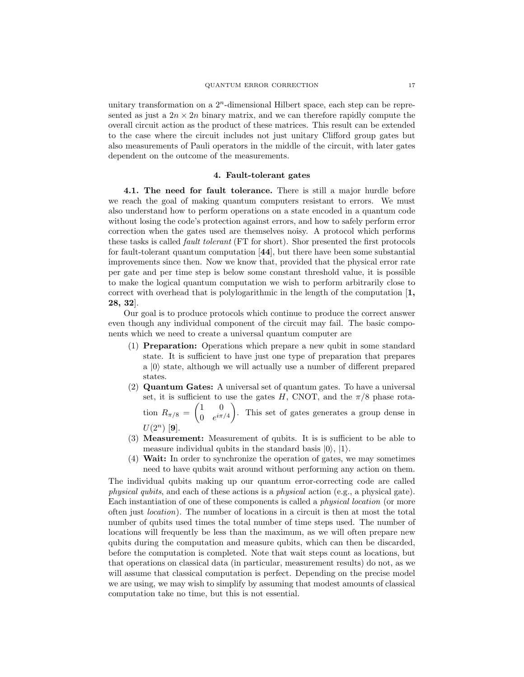unitary transformation on a  $2<sup>n</sup>$ -dimensional Hilbert space, each step can be represented as just a  $2n \times 2n$  binary matrix, and we can therefore rapidly compute the overall circuit action as the product of these matrices. This result can be extended to the case where the circuit includes not just unitary Clifford group gates but also measurements of Pauli operators in the middle of the circuit, with later gates dependent on the outcome of the measurements.

#### 4. Fault-tolerant gates

4.1. The need for fault tolerance. There is still a major hurdle before we reach the goal of making quantum computers resistant to errors. We must also understand how to perform operations on a state encoded in a quantum code without losing the code's protection against errors, and how to safely perform error correction when the gates used are themselves noisy. A protocol which performs these tasks is called fault tolerant (FT for short). Shor presented the first protocols for fault-tolerant quantum computation [44], but there have been some substantial improvements since then. Now we know that, provided that the physical error rate per gate and per time step is below some constant threshold value, it is possible to make the logical quantum computation we wish to perform arbitrarily close to correct with overhead that is polylogarithmic in the length of the computation  $\mathbf{1}$ , 28, 32].

Our goal is to produce protocols which continue to produce the correct answer even though any individual component of the circuit may fail. The basic components which we need to create a universal quantum computer are

- (1) Preparation: Operations which prepare a new qubit in some standard state. It is sufficient to have just one type of preparation that prepares a  $|0\rangle$  state, although we will actually use a number of different prepared states.
- (2) Quantum Gates: A universal set of quantum gates. To have a universal set, it is sufficient to use the gates H, CNOT, and the  $\pi/8$  phase rotation  $R_{\pi/8} = \begin{pmatrix} 1 & 0 \\ 0 & e^{i\pi} \end{pmatrix}$ 0  $e^{i\pi/4}$  . This set of gates generates a group dense in  $U(2^n)$  [9].
- (3) Measurement: Measurement of qubits. It is is sufficient to be able to measure individual qubits in the standard basis  $|0\rangle$ ,  $|1\rangle$ .
- (4) Wait: In order to synchronize the operation of gates, we may sometimes need to have qubits wait around without performing any action on them.

The individual qubits making up our quantum error-correcting code are called *physical qubits*, and each of these actions is a *physical* action (e.g., a physical gate). Each instantiation of one of these components is called a physical location (or more often just location). The number of locations in a circuit is then at most the total number of qubits used times the total number of time steps used. The number of locations will frequently be less than the maximum, as we will often prepare new qubits during the computation and measure qubits, which can then be discarded, before the computation is completed. Note that wait steps count as locations, but that operations on classical data (in particular, measurement results) do not, as we will assume that classical computation is perfect. Depending on the precise model we are using, we may wish to simplify by assuming that modest amounts of classical computation take no time, but this is not essential.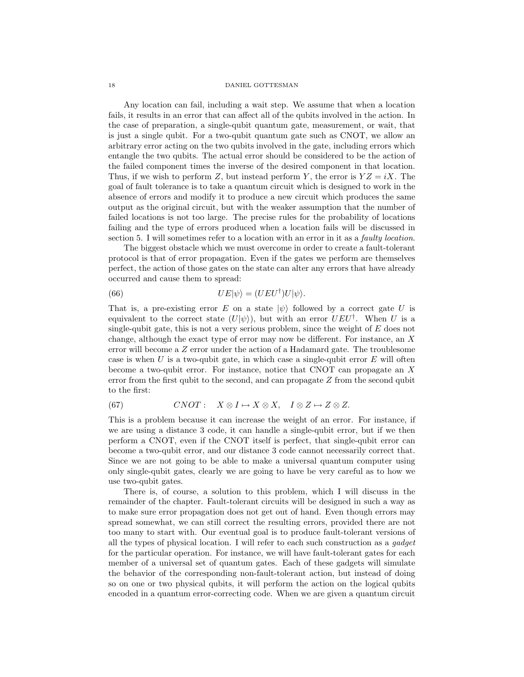Any location can fail, including a wait step. We assume that when a location fails, it results in an error that can affect all of the qubits involved in the action. In the case of preparation, a single-qubit quantum gate, measurement, or wait, that is just a single qubit. For a two-qubit quantum gate such as CNOT, we allow an arbitrary error acting on the two qubits involved in the gate, including errors which entangle the two qubits. The actual error should be considered to be the action of the failed component times the inverse of the desired component in that location. Thus, if we wish to perform Z, but instead perform Y, the error is  $YZ = iX$ . The goal of fault tolerance is to take a quantum circuit which is designed to work in the absence of errors and modify it to produce a new circuit which produces the same output as the original circuit, but with the weaker assumption that the number of failed locations is not too large. The precise rules for the probability of locations failing and the type of errors produced when a location fails will be discussed in section 5. I will sometimes refer to a location with an error in it as a *faulty location*.

The biggest obstacle which we must overcome in order to create a fault-tolerant protocol is that of error propagation. Even if the gates we perform are themselves perfect, the action of those gates on the state can alter any errors that have already occurred and cause them to spread:

(66) 
$$
UE|\psi\rangle = (UEU^{\dagger})U|\psi\rangle.
$$

That is, a pre-existing error E on a state  $|\psi\rangle$  followed by a correct gate U is equivalent to the correct state  $(U|\psi\rangle)$ , but with an error  $UEU^{\dagger}$ . When U is a single-qubit gate, this is not a very serious problem, since the weight of  $E$  does not change, although the exact type of error may now be different. For instance, an X error will become a Z error under the action of a Hadamard gate. The troublesome case is when  $U$  is a two-qubit gate, in which case a single-qubit error  $E$  will often become a two-qubit error. For instance, notice that CNOT can propagate an X error from the first qubit to the second, and can propagate Z from the second qubit to the first:

(67) 
$$
CNOT: X \otimes I \mapsto X \otimes X, I \otimes Z \mapsto Z \otimes Z.
$$

This is a problem because it can increase the weight of an error. For instance, if we are using a distance 3 code, it can handle a single-qubit error, but if we then perform a CNOT, even if the CNOT itself is perfect, that single-qubit error can become a two-qubit error, and our distance 3 code cannot necessarily correct that. Since we are not going to be able to make a universal quantum computer using only single-qubit gates, clearly we are going to have be very careful as to how we use two-qubit gates.

There is, of course, a solution to this problem, which I will discuss in the remainder of the chapter. Fault-tolerant circuits will be designed in such a way as to make sure error propagation does not get out of hand. Even though errors may spread somewhat, we can still correct the resulting errors, provided there are not too many to start with. Our eventual goal is to produce fault-tolerant versions of all the types of physical location. I will refer to each such construction as a gadget for the particular operation. For instance, we will have fault-tolerant gates for each member of a universal set of quantum gates. Each of these gadgets will simulate the behavior of the corresponding non-fault-tolerant action, but instead of doing so on one or two physical qubits, it will perform the action on the logical qubits encoded in a quantum error-correcting code. When we are given a quantum circuit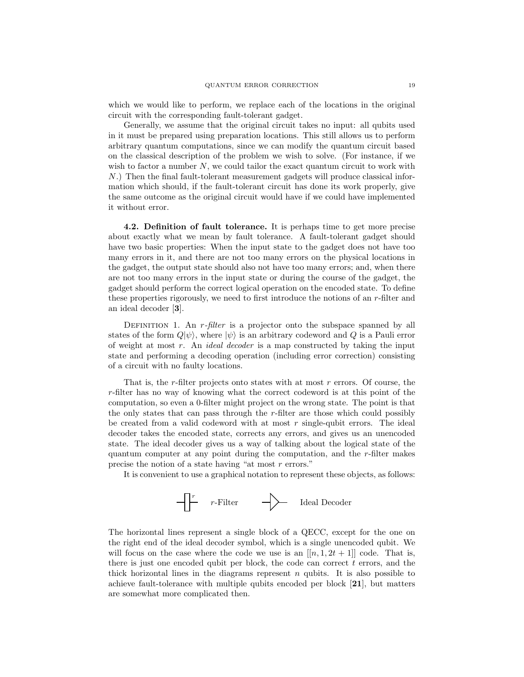which we would like to perform, we replace each of the locations in the original circuit with the corresponding fault-tolerant gadget.

Generally, we assume that the original circuit takes no input: all qubits used in it must be prepared using preparation locations. This still allows us to perform arbitrary quantum computations, since we can modify the quantum circuit based on the classical description of the problem we wish to solve. (For instance, if we wish to factor a number  $N$ , we could tailor the exact quantum circuit to work with N.) Then the final fault-tolerant measurement gadgets will produce classical information which should, if the fault-tolerant circuit has done its work properly, give the same outcome as the original circuit would have if we could have implemented it without error.

4.2. Definition of fault tolerance. It is perhaps time to get more precise about exactly what we mean by fault tolerance. A fault-tolerant gadget should have two basic properties: When the input state to the gadget does not have too many errors in it, and there are not too many errors on the physical locations in the gadget, the output state should also not have too many errors; and, when there are not too many errors in the input state or during the course of the gadget, the gadget should perform the correct logical operation on the encoded state. To define these properties rigorously, we need to first introduce the notions of an r-filter and an ideal decoder [3].

DEFINITION 1. An  $r$ -filter is a projector onto the subspace spanned by all states of the form  $Q|\psi\rangle$ , where  $|\psi\rangle$  is an arbitrary codeword and Q is a Pauli error of weight at most r. An ideal decoder is a map constructed by taking the input state and performing a decoding operation (including error correction) consisting of a circuit with no faulty locations.

That is, the r-filter projects onto states with at most  $r$  errors. Of course, the r-filter has no way of knowing what the correct codeword is at this point of the computation, so even a 0-filter might project on the wrong state. The point is that the only states that can pass through the  $r$ -filter are those which could possibly be created from a valid codeword with at most  $r$  single-qubit errors. The ideal decoder takes the encoded state, corrects any errors, and gives us an unencoded state. The ideal decoder gives us a way of talking about the logical state of the quantum computer at any point during the computation, and the r-filter makes precise the notion of a state having "at most r errors."

It is convenient to use a graphical notation to represent these objects, as follows:



The horizontal lines represent a single block of a QECC, except for the one on the right end of the ideal decoder symbol, which is a single unencoded qubit. We will focus on the case where the code we use is an  $[[n, 1, 2t + 1]]$  code. That is, there is just one encoded qubit per block, the code can correct  $t$  errors, and the thick horizontal lines in the diagrams represent  $n$  qubits. It is also possible to achieve fault-tolerance with multiple qubits encoded per block [21], but matters are somewhat more complicated then.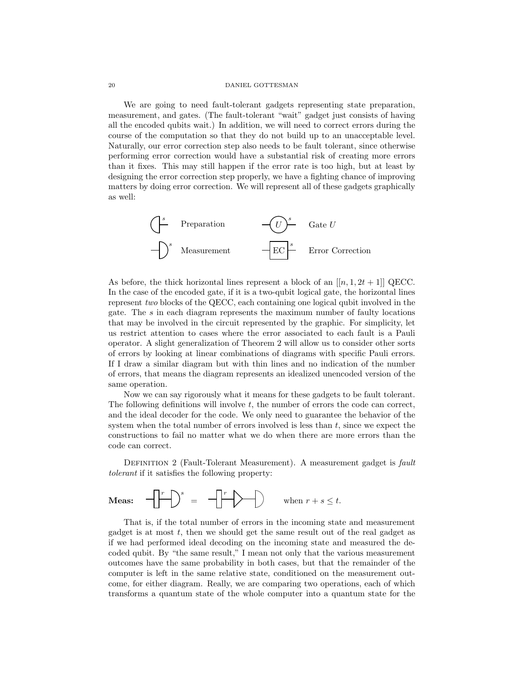We are going to need fault-tolerant gadgets representing state preparation, measurement, and gates. (The fault-tolerant "wait" gadget just consists of having all the encoded qubits wait.) In addition, we will need to correct errors during the course of the computation so that they do not build up to an unacceptable level. Naturally, our error correction step also needs to be fault tolerant, since otherwise performing error correction would have a substantial risk of creating more errors than it fixes. This may still happen if the error rate is too high, but at least by designing the error correction step properly, we have a fighting chance of improving matters by doing error correction. We will represent all of these gadgets graphically as well:



As before, the thick horizontal lines represent a block of an  $[[n, 1, 2t + 1]]$  QECC. In the case of the encoded gate, if it is a two-qubit logical gate, the horizontal lines represent two blocks of the QECC, each containing one logical qubit involved in the gate. The s in each diagram represents the maximum number of faulty locations that may be involved in the circuit represented by the graphic. For simplicity, let us restrict attention to cases where the error associated to each fault is a Pauli operator. A slight generalization of Theorem 2 will allow us to consider other sorts of errors by looking at linear combinations of diagrams with specific Pauli errors. If I draw a similar diagram but with thin lines and no indication of the number of errors, that means the diagram represents an idealized unencoded version of the same operation.

Now we can say rigorously what it means for these gadgets to be fault tolerant. The following definitions will involve  $t$ , the number of errors the code can correct, and the ideal decoder for the code. We only need to guarantee the behavior of the system when the total number of errors involved is less than  $t$ , since we expect the constructions to fail no matter what we do when there are more errors than the code can correct.

DEFINITION 2 (Fault-Tolerant Measurement). A measurement gadget is *fault* tolerant if it satisfies the following property:

Meas:  $r \bigwedge s$  $\begin{array}{ccc} \text{s} & & \\ \text{ } & & \\ \end{array}$ Ν when  $r + s \leq t$ .

That is, if the total number of errors in the incoming state and measurement gadget is at most  $t$ , then we should get the same result out of the real gadget as if we had performed ideal decoding on the incoming state and measured the decoded qubit. By "the same result," I mean not only that the various measurement outcomes have the same probability in both cases, but that the remainder of the computer is left in the same relative state, conditioned on the measurement outcome, for either diagram. Really, we are comparing two operations, each of which transforms a quantum state of the whole computer into a quantum state for the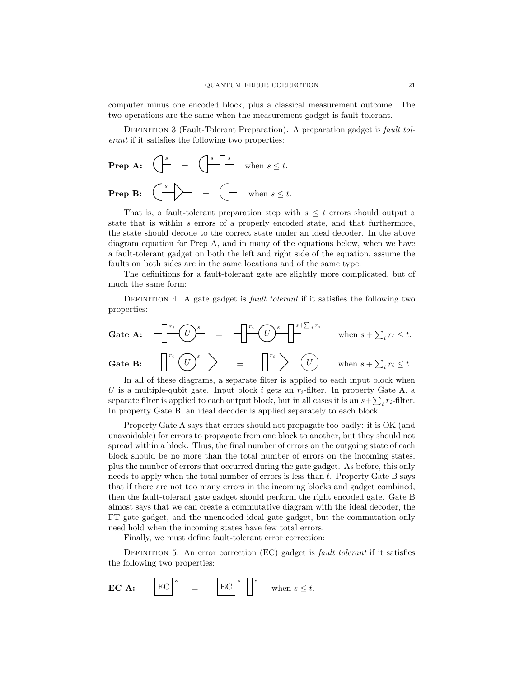computer minus one encoded block, plus a classical measurement outcome. The two operations are the same when the measurement gadget is fault tolerant.

DEFINITION 3 (Fault-Tolerant Preparation). A preparation gadget is *fault tol*erant if it satisfies the following two properties:

**Prep A:** 
$$
\begin{pmatrix} s \\ s \end{pmatrix} = \begin{pmatrix} s \\ s \end{pmatrix} \text{ when } s \leq t.
$$

**Prep B:** 
$$
\left\langle \begin{array}{cc} s \\ \end{array} \right\rangle
$$
 =  $\left\langle \begin{array}{cc} \\ \end{array} \right\rangle$  when  $s \leq t$ .

That is, a fault-tolerant preparation step with  $s \leq t$  errors should output a state that is within s errors of a properly encoded state, and that furthermore, the state should decode to the correct state under an ideal decoder. In the above diagram equation for Prep A, and in many of the equations below, when we have a fault-tolerant gadget on both the left and right side of the equation, assume the faults on both sides are in the same locations and of the same type.

The definitions for a fault-tolerant gate are slightly more complicated, but of much the same form:

DEFINITION 4. A gate gadget is *fault tolerant* if it satisfies the following two properties:

**Gate A:** 
$$
\left\| \begin{matrix} r_i \\ U \end{matrix} \right\|^s = \left\| \begin{matrix} \overbrace{U} \end{matrix} \right\|^s + \sum_i r_i \quad \text{when } s + \sum_i r_i \leq t.
$$
  
**Gate B:** 
$$
\left\| \begin{matrix} \overbrace{U} \end{matrix} \right\|^s \longrightarrow = \left\| \begin{matrix} \overbrace{V} \end{matrix} \right\|^s \longrightarrow \left\| \begin{matrix} \overbrace{U} \end{matrix} \right\|^s \quad \text{when } s + \sum_i r_i \leq t.
$$

In all of these diagrams, a separate filter is applied to each input block when U is a multiple-qubit gate. Input block i gets an  $r_i$ -filter. In property Gate A, a separate filter is applied to each output block, but in all cases it is an  $s + \sum_i r_i$ -filter. In property Gate B, an ideal decoder is applied separately to each block.

Property Gate A says that errors should not propagate too badly: it is OK (and unavoidable) for errors to propagate from one block to another, but they should not spread within a block. Thus, the final number of errors on the outgoing state of each block should be no more than the total number of errors on the incoming states, plus the number of errors that occurred during the gate gadget. As before, this only needs to apply when the total number of errors is less than t. Property Gate B says that if there are not too many errors in the incoming blocks and gadget combined, then the fault-tolerant gate gadget should perform the right encoded gate. Gate B almost says that we can create a commutative diagram with the ideal decoder, the FT gate gadget, and the unencoded ideal gate gadget, but the commutation only need hold when the incoming states have few total errors.

Finally, we must define fault-tolerant error correction:

DEFINITION 5. An error correction  $(EC)$  gadget is *fault tolerant* if it satisfies the following two properties:

**EC A:** 
$$
-\overline{\text{EC}}^s
$$
 =  $-\overline{\text{EC}}^s$  when  $s \leq t$ .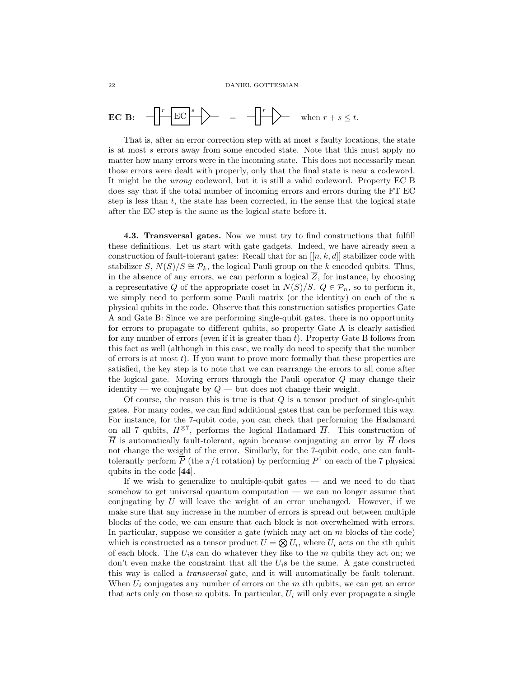**EC B:** 
$$
\left| \frac{r}{r} \right| \left| \frac{FC}{r} \right|
$$
 =  $\left| \frac{r}{r} \right|$  when  $r + s \le t$ .

That is, after an error correction step with at most s faulty locations, the state is at most s errors away from some encoded state. Note that this must apply no matter how many errors were in the incoming state. This does not necessarily mean those errors were dealt with properly, only that the final state is near a codeword. It might be the wrong codeword, but it is still a valid codeword. Property EC B does say that if the total number of incoming errors and errors during the FT EC step is less than  $t$ , the state has been corrected, in the sense that the logical state after the EC step is the same as the logical state before it.

4.3. Transversal gates. Now we must try to find constructions that fulfill these definitions. Let us start with gate gadgets. Indeed, we have already seen a construction of fault-tolerant gates: Recall that for an  $[[n, k, d]]$  stabilizer code with stabilizer S,  $N(S)/S \cong \mathcal{P}_k$ , the logical Pauli group on the k encoded qubits. Thus, in the absence of any errors, we can perform a logical  $\overline{Z}$ , for instance, by choosing a representative Q of the appropriate coset in  $N(S)/S$ .  $Q \in \mathcal{P}_n$ , so to perform it, we simply need to perform some Pauli matrix (or the identity) on each of the  $n$ physical qubits in the code. Observe that this construction satisfies properties Gate A and Gate B: Since we are performing single-qubit gates, there is no opportunity for errors to propagate to different qubits, so property Gate A is clearly satisfied for any number of errors (even if it is greater than  $t$ ). Property Gate B follows from this fact as well (although in this case, we really do need to specify that the number of errors is at most  $t$ ). If you want to prove more formally that these properties are satisfied, the key step is to note that we can rearrange the errors to all come after the logical gate. Moving errors through the Pauli operator Q may change their identity — we conjugate by  $Q$  — but does not change their weight.

Of course, the reason this is true is that  $Q$  is a tensor product of single-qubit gates. For many codes, we can find additional gates that can be performed this way. For instance, for the 7-qubit code, you can check that performing the Hadamard on all 7 qubits,  $H^{\otimes 7}$ , performs the logical Hadamard  $\overline{H}$ . This construction of  $\overline{H}$  is automatically fault-tolerant, again because conjugating an error by  $\overline{H}$  does not change the weight of the error. Similarly, for the 7-qubit code, one can faulttolerantly perform  $\overline{P}$  (the  $\pi/4$  rotation) by performing  $P^{\dagger}$  on each of the 7 physical qubits in the code [44].

If we wish to generalize to multiple-qubit gates — and we need to do that somehow to get universal quantum computation — we can no longer assume that conjugating by  $U$  will leave the weight of an error unchanged. However, if we make sure that any increase in the number of errors is spread out between multiple blocks of the code, we can ensure that each block is not overwhelmed with errors. In particular, suppose we consider a gate (which may act on  $m$  blocks of the code) which is constructed as a tensor product  $U = \bigotimes U_i$ , where  $U_i$  acts on the *i*th qubit of each block. The  $U_i$ s can do whatever they like to the m qubits they act on; we don't even make the constraint that all the  $U_i$ s be the same. A gate constructed this way is called a transversal gate, and it will automatically be fault tolerant. When  $U_i$  conjugates any number of errors on the m ith qubits, we can get an error that acts only on those m qubits. In particular,  $U_i$  will only ever propagate a single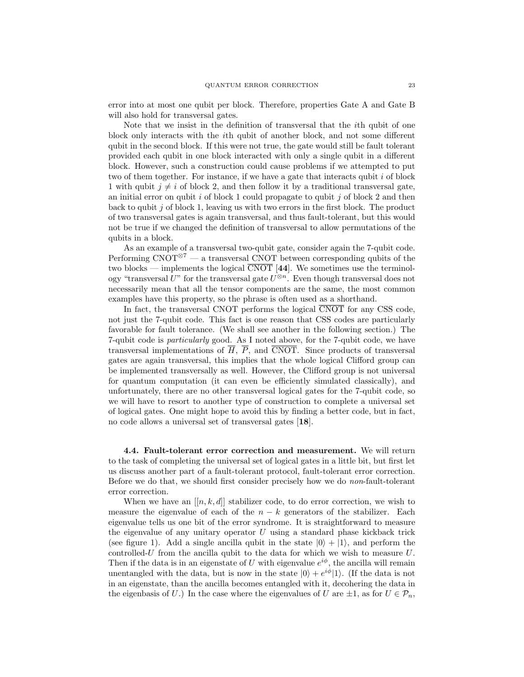error into at most one qubit per block. Therefore, properties Gate A and Gate B will also hold for transversal gates.

Note that we insist in the definition of transversal that the ith qubit of one block only interacts with the ith qubit of another block, and not some different qubit in the second block. If this were not true, the gate would still be fault tolerant provided each qubit in one block interacted with only a single qubit in a different block. However, such a construction could cause problems if we attempted to put two of them together. For instance, if we have a gate that interacts qubit  $i$  of block 1 with qubit  $j \neq i$  of block 2, and then follow it by a traditional transversal gate, an initial error on qubit  $i$  of block 1 could propagate to qubit  $j$  of block 2 and then back to qubit  $j$  of block 1, leaving us with two errors in the first block. The product of two transversal gates is again transversal, and thus fault-tolerant, but this would not be true if we changed the definition of transversal to allow permutations of the qubits in a block.

As an example of a transversal two-qubit gate, consider again the 7-qubit code. Performing  $CNOT^{\otimes 7}$  — a transversal CNOT between corresponding qubits of the two blocks — implements the logical  $\overline{CNOT}$  [44]. We sometimes use the terminology "transversal  $U$ " for the transversal gate  $U^{\otimes n}$ . Even though transversal does not necessarily mean that all the tensor components are the same, the most common examples have this property, so the phrase is often used as a shorthand.

In fact, the transversal CNOT performs the logical  $\overline{CNOT}$  for any CSS code, not just the 7-qubit code. This fact is one reason that CSS codes are particularly favorable for fault tolerance. (We shall see another in the following section.) The 7-qubit code is particularly good. As I noted above, for the 7-qubit code, we have transversal implementations of  $\overline{H}$ ,  $\overline{P}$ , and CNOT. Since products of transversal gates are again transversal, this implies that the whole logical Clifford group can be implemented transversally as well. However, the Clifford group is not universal for quantum computation (it can even be efficiently simulated classically), and unfortunately, there are no other transversal logical gates for the 7-qubit code, so we will have to resort to another type of construction to complete a universal set of logical gates. One might hope to avoid this by finding a better code, but in fact, no code allows a universal set of transversal gates [18].

4.4. Fault-tolerant error correction and measurement. We will return to the task of completing the universal set of logical gates in a little bit, but first let us discuss another part of a fault-tolerant protocol, fault-tolerant error correction. Before we do that, we should first consider precisely how we do non-fault-tolerant error correction.

When we have an  $[[n, k, d]]$  stabilizer code, to do error correction, we wish to measure the eigenvalue of each of the  $n - k$  generators of the stabilizer. Each eigenvalue tells us one bit of the error syndrome. It is straightforward to measure the eigenvalue of any unitary operator  $U$  using a standard phase kickback trick (see figure 1). Add a single ancilla qubit in the state  $|0\rangle + |1\rangle$ , and perform the controlled-U from the ancilla qubit to the data for which we wish to measure U. Then if the data is in an eigenstate of U with eigenvalue  $e^{i\phi}$ , the ancilla will remain unentangled with the data, but is now in the state  $|0\rangle + e^{i\phi}|1\rangle$ . (If the data is not in an eigenstate, than the ancilla becomes entangled with it, decohering the data in the eigenbasis of U.) In the case where the eigenvalues of U are  $\pm 1$ , as for  $U \in \mathcal{P}_n$ ,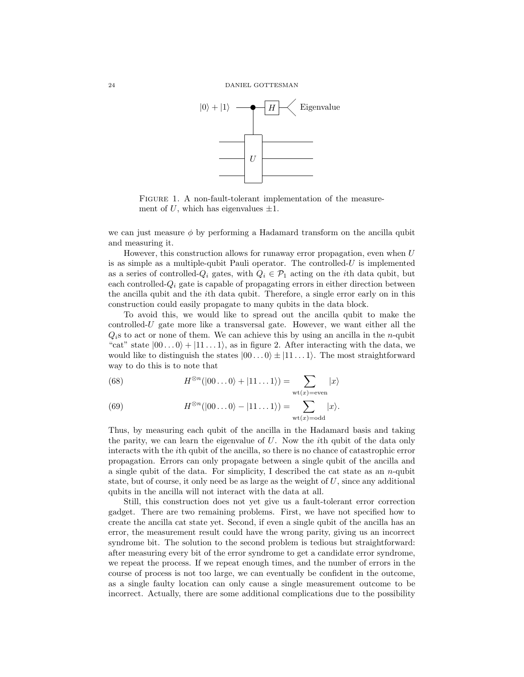

FIGURE 1. A non-fault-tolerant implementation of the measurement of U, which has eigenvalues  $\pm 1$ .

we can just measure  $\phi$  by performing a Hadamard transform on the ancilla qubit and measuring it.

However, this construction allows for runaway error propagation, even when  $U$ is as simple as a multiple-qubit Pauli operator. The controlled- $U$  is implemented as a series of controlled- $Q_i$  gates, with  $Q_i \in \mathcal{P}_1$  acting on the *i*th data qubit, but each controlled- $Q_i$  gate is capable of propagating errors in either direction between the ancilla qubit and the ith data qubit. Therefore, a single error early on in this construction could easily propagate to many qubits in the data block.

To avoid this, we would like to spread out the ancilla qubit to make the controlled-U gate more like a transversal gate. However, we want either all the  $Q_i$ s to act or none of them. We can achieve this by using an ancilla in the *n*-qubit "cat" state  $|00...0\rangle + |11...1\rangle$ , as in figure 2. After interacting with the data, we would like to distinguish the states  $|00...0\rangle \pm |11...1\rangle$ . The most straightforward way to do this is to note that

(68) 
$$
H^{\otimes n}(|00...0\rangle + |11...1\rangle) = \sum_{\text{wt}(x) = \text{even}} |x\rangle
$$

(69) 
$$
H^{\otimes n}(|00...0\rangle - |11...1\rangle) = \sum_{\text{wt}(x) = \text{odd}} |x\rangle.
$$

Thus, by measuring each qubit of the ancilla in the Hadamard basis and taking the parity, we can learn the eigenvalue of  $U$ . Now the *i*th qubit of the data only interacts with the ith qubit of the ancilla, so there is no chance of catastrophic error propagation. Errors can only propagate between a single qubit of the ancilla and a single qubit of the data. For simplicity, I described the cat state as an  $n$ -qubit state, but of course, it only need be as large as the weight of  $U$ , since any additional qubits in the ancilla will not interact with the data at all.

Still, this construction does not yet give us a fault-tolerant error correction gadget. There are two remaining problems. First, we have not specified how to create the ancilla cat state yet. Second, if even a single qubit of the ancilla has an error, the measurement result could have the wrong parity, giving us an incorrect syndrome bit. The solution to the second problem is tedious but straightforward: after measuring every bit of the error syndrome to get a candidate error syndrome, we repeat the process. If we repeat enough times, and the number of errors in the course of process is not too large, we can eventually be confident in the outcome, as a single faulty location can only cause a single measurement outcome to be incorrect. Actually, there are some additional complications due to the possibility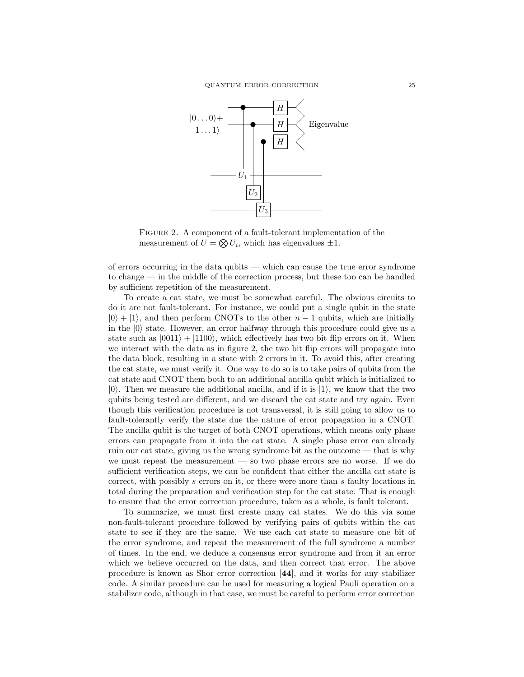

FIGURE 2. A component of a fault-tolerant implementation of the measurement of  $U = \bigotimes U_i$ , which has eigenvalues  $\pm 1$ .

of errors occurring in the data qubits — which can cause the true error syndrome to change — in the middle of the correction process, but these too can be handled by sufficient repetition of the measurement.

To create a cat state, we must be somewhat careful. The obvious circuits to do it are not fault-tolerant. For instance, we could put a single qubit in the state  $|0\rangle + |1\rangle$ , and then perform CNOTs to the other  $n-1$  qubits, which are initially in the  $|0\rangle$  state. However, an error halfway through this procedure could give us a state such as  $|0011\rangle + |1100\rangle$ , which effectively has two bit flip errors on it. When we interact with the data as in figure 2, the two bit flip errors will propagate into the data block, resulting in a state with 2 errors in it. To avoid this, after creating the cat state, we must verify it. One way to do so is to take pairs of qubits from the cat state and CNOT them both to an additional ancilla qubit which is initialized to  $|0\rangle$ . Then we measure the additional ancilla, and if it is  $|1\rangle$ , we know that the two qubits being tested are different, and we discard the cat state and try again. Even though this verification procedure is not transversal, it is still going to allow us to fault-tolerantly verify the state due the nature of error propagation in a CNOT. The ancilla qubit is the target of both CNOT operations, which means only phase errors can propagate from it into the cat state. A single phase error can already ruin our cat state, giving us the wrong syndrome bit as the outcome — that is why we must repeat the measurement — so two phase errors are no worse. If we do sufficient verification steps, we can be confident that either the ancilla cat state is correct, with possibly s errors on it, or there were more than s faulty locations in total during the preparation and verification step for the cat state. That is enough to ensure that the error correction procedure, taken as a whole, is fault tolerant.

To summarize, we must first create many cat states. We do this via some non-fault-tolerant procedure followed by verifying pairs of qubits within the cat state to see if they are the same. We use each cat state to measure one bit of the error syndrome, and repeat the measurement of the full syndrome a number of times. In the end, we deduce a consensus error syndrome and from it an error which we believe occurred on the data, and then correct that error. The above procedure is known as Shor error correction [44], and it works for any stabilizer code. A similar procedure can be used for measuring a logical Pauli operation on a stabilizer code, although in that case, we must be careful to perform error correction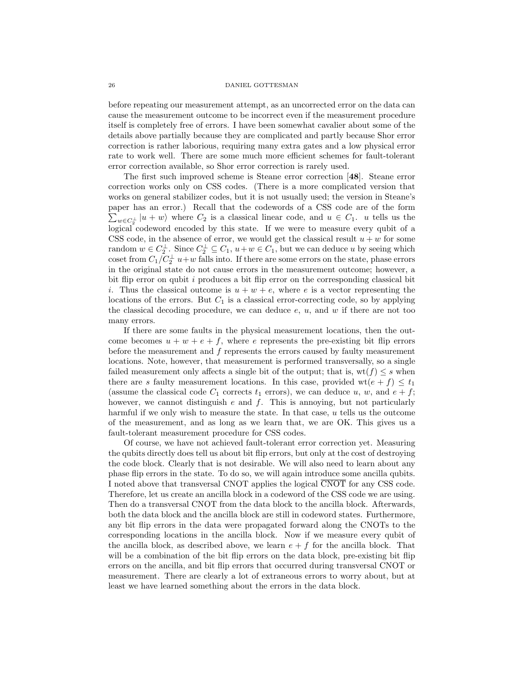before repeating our measurement attempt, as an uncorrected error on the data can cause the measurement outcome to be incorrect even if the measurement procedure itself is completely free of errors. I have been somewhat cavalier about some of the details above partially because they are complicated and partly because Shor error correction is rather laborious, requiring many extra gates and a low physical error rate to work well. There are some much more efficient schemes for fault-tolerant error correction available, so Shor error correction is rarely used.

The first such improved scheme is Steane error correction [48]. Steane error correction works only on CSS codes. (There is a more complicated version that works on general stabilizer codes, but it is not usually used; the version in Steane's paper has an error.) Recall that the codewords of a CSS code are of the form  $\sum_{w \in C_2^{\perp}} |u + w\rangle$  where  $C_2$  is a classical linear code, and  $u \in C_1$ . u tells us the logical codeword encoded by this state. If we were to measure every qubit of a CSS code, in the absence of error, we would get the classical result  $u + w$  for some random  $w \in C_2^{\perp}$ . Since  $C_2^{\perp} \subseteq C_1$ ,  $u + w \in C_1$ , but we can deduce u by seeing which coset from  $C_1/C_2^{\perp}$   $u+w$  falls into. If there are some errors on the state, phase errors in the original state do not cause errors in the measurement outcome; however, a bit flip error on qubit  $i$  produces a bit flip error on the corresponding classical bit i. Thus the classical outcome is  $u + w + e$ , where e is a vector representing the locations of the errors. But  $C_1$  is a classical error-correcting code, so by applying the classical decoding procedure, we can deduce  $e$ ,  $u$ , and  $w$  if there are not too many errors.

If there are some faults in the physical measurement locations, then the outcome becomes  $u + w + e + f$ , where e represents the pre-existing bit flip errors before the measurement and  $f$  represents the errors caused by faulty measurement locations. Note, however, that measurement is performed transversally, so a single failed measurement only affects a single bit of the output; that is,  $wt(f) \leq s$  when there are s faulty measurement locations. In this case, provided wt $(e + f) \leq t_1$ (assume the classical code  $C_1$  corrects  $t_1$  errors), we can deduce u, w, and  $e + f$ ; however, we cannot distinguish  $e$  and  $f$ . This is annoying, but not particularly harmful if we only wish to measure the state. In that case,  $u$  tells us the outcome of the measurement, and as long as we learn that, we are OK. This gives us a fault-tolerant measurement procedure for CSS codes.

Of course, we have not achieved fault-tolerant error correction yet. Measuring the qubits directly does tell us about bit flip errors, but only at the cost of destroying the code block. Clearly that is not desirable. We will also need to learn about any phase flip errors in the state. To do so, we will again introduce some ancilla qubits. I noted above that transversal CNOT applies the logical CNOT for any CSS code. Therefore, let us create an ancilla block in a codeword of the CSS code we are using. Then do a transversal CNOT from the data block to the ancilla block. Afterwards, both the data block and the ancilla block are still in codeword states. Furthermore, any bit flip errors in the data were propagated forward along the CNOTs to the corresponding locations in the ancilla block. Now if we measure every qubit of the ancilla block, as described above, we learn  $e + f$  for the ancilla block. That will be a combination of the bit flip errors on the data block, pre-existing bit flip errors on the ancilla, and bit flip errors that occurred during transversal CNOT or measurement. There are clearly a lot of extraneous errors to worry about, but at least we have learned something about the errors in the data block.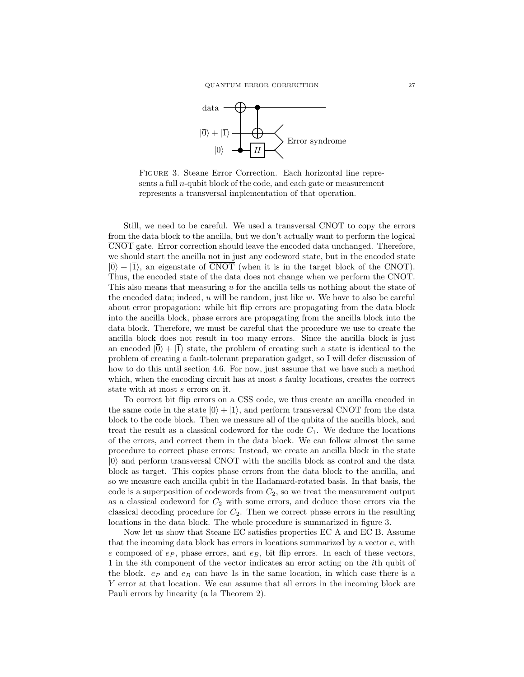

Figure 3. Steane Error Correction. Each horizontal line represents a full  $n$ -qubit block of the code, and each gate or measurement represents a transversal implementation of that operation.

Still, we need to be careful. We used a transversal CNOT to copy the errors from the data block to the ancilla, but we don't actually want to perform the logical CNOT gate. Error correction should leave the encoded data unchanged. Therefore, we should start the ancilla not in just any codeword state, but in the encoded state  $|\overline{0}\rangle + |\overline{1}\rangle$ , an eigenstate of CNOT (when it is in the target block of the CNOT). Thus, the encoded state of the data does not change when we perform the CNOT. This also means that measuring u for the ancilla tells us nothing about the state of the encoded data; indeed,  $u$  will be random, just like  $w$ . We have to also be careful about error propagation: while bit flip errors are propagating from the data block into the ancilla block, phase errors are propagating from the ancilla block into the data block. Therefore, we must be careful that the procedure we use to create the ancilla block does not result in too many errors. Since the ancilla block is just an encoded  $|\overline{0}\rangle + |\overline{1}\rangle$  state, the problem of creating such a state is identical to the problem of creating a fault-tolerant preparation gadget, so I will defer discussion of how to do this until section 4.6. For now, just assume that we have such a method which, when the encoding circuit has at most s faulty locations, creates the correct state with at most s errors on it.

To correct bit flip errors on a CSS code, we thus create an ancilla encoded in the same code in the state  $|\overline{0}\rangle + |\overline{1}\rangle$ , and perform transversal CNOT from the data block to the code block. Then we measure all of the qubits of the ancilla block, and treat the result as a classical codeword for the code  $C_1$ . We deduce the locations of the errors, and correct them in the data block. We can follow almost the same procedure to correct phase errors: Instead, we create an ancilla block in the state  $|\overline{0}\rangle$  and perform transversal CNOT with the ancilla block as control and the data block as target. This copies phase errors from the data block to the ancilla, and so we measure each ancilla qubit in the Hadamard-rotated basis. In that basis, the code is a superposition of codewords from  $C_2$ , so we treat the measurement output as a classical codeword for  $C_2$  with some errors, and deduce those errors via the classical decoding procedure for  $C_2$ . Then we correct phase errors in the resulting locations in the data block. The whole procedure is summarized in figure 3.

Now let us show that Steane EC satisfies properties EC A and EC B. Assume that the incoming data block has errors in locations summarized by a vector e, with e composed of  $e_P$ , phase errors, and  $e_B$ , bit flip errors. In each of these vectors, 1 in the ith component of the vector indicates an error acting on the ith qubit of the block.  $e_P$  and  $e_B$  can have 1s in the same location, in which case there is a Y error at that location. We can assume that all errors in the incoming block are Pauli errors by linearity (a la Theorem 2).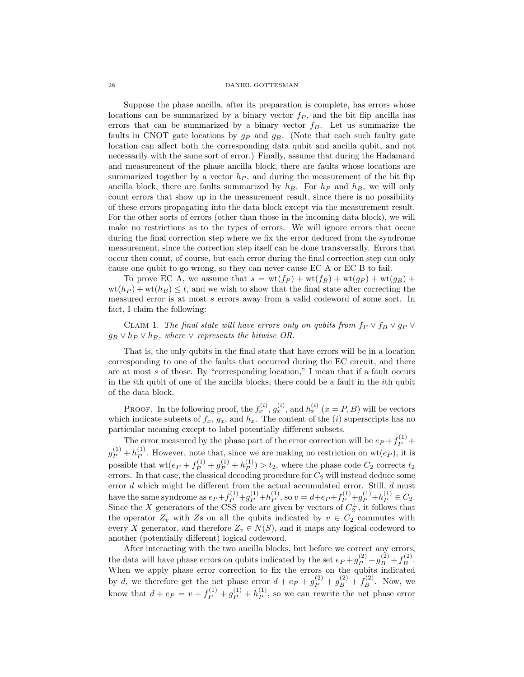Suppose the phase ancilla, after its preparation is complete, has errors whose locations can be summarized by a binary vector  $f_P$ , and the bit flip ancilla has errors that can be summarized by a binary vector  $f_B$ . Let us summarize the faults in CNOT gate locations by  $g_P$  and  $g_B$ . (Note that each such faulty gate location can affect both the corresponding data qubit and ancilla qubit, and not necessarily with the same sort of error.) Finally, assume that during the Hadamard and measurement of the phase ancilla block, there are faults whose locations are summarized together by a vector  $h<sub>P</sub>$ , and during the measurement of the bit flip ancilla block, there are faults summarized by  $h_B$ . For  $h_P$  and  $h_B$ , we will only count errors that show up in the measurement result, since there is no possibility of these errors propagating into the data block except via the measurement result. For the other sorts of errors (other than those in the incoming data block), we will make no restrictions as to the types of errors. We will ignore errors that occur during the final correction step where we fix the error deduced from the syndrome measurement, since the correction step itself can be done transversally. Errors that occur then count, of course, but each error during the final correction step can only cause one qubit to go wrong, so they can never cause EC A or EC B to fail.

To prove EC A, we assume that  $s = \text{wt}(f_P) + \text{wt}(f_B) + \text{wt}(g_P) + \text{wt}(g_B) +$  $wt(h_P) + wt(h_B) \leq t$ , and we wish to show that the final state after correcting the measured error is at most s errors away from a valid codeword of some sort. In fact, I claim the following:

CLAIM 1. The final state will have errors only on qubits from  $f_P \vee f_B \vee g_P \vee f_A$  $g_B \vee h_P \vee h_B$ , where  $\vee$  represents the bitwise OR.

That is, the only qubits in the final state that have errors will be in a location corresponding to one of the faults that occurred during the EC circuit, and there are at most s of those. By "corresponding location," I mean that if a fault occurs in the ith qubit of one of the ancilla blocks, there could be a fault in the ith qubit of the data block.

PROOF. In the following proof, the  $f_x^{(i)}$ ,  $g_x^{(i)}$ , and  $h_x^{(i)}$  ( $x = P, B$ ) will be vectors which indicate subsets of  $f_x, g_x$ , and  $h_x$ . The content of the (i) superscripts has no particular meaning except to label potentially different subsets.

The error measured by the phase part of the error correction will be  $e_P + f_P^{(1)} +$  $g_P^{(1)} + h_P^{(1)}$  $P_P^{(1)}$ . However, note that, since we are making no restriction on wt $(e_P)$ , it is possible that  $\text{wt}(e_P + f_P^{(1)} + g_P^{(1)} + h_P^{(1)})$  $(P<sup>(1)</sup>) > t_2$ , where the phase code  $C_2$  corrects  $t_2$ errors. In that case, the classical decoding procedure for  $C_2$  will instead deduce some error d which might be different from the actual accumulated error. Still, d must have the same syndrome as  $e_P + f_P^{(1)} + g_P^{(1)} + h_P^{(1)}$  $p^{(1)}$ , so  $v = d + e_P + f_P^{(1)} + g_P^{(1)} + h_P^{(1)} \in C_2$ . Since the X generators of the CSS code are given by vectors of  $C_2^{\perp}$ , it follows that the operator  $Z_v$  with Zs on all the qubits indicated by  $v \in C_2$  commutes with every X generator, and therefore  $Z_v \in N(S)$ , and it maps any logical codeword to another (potentially different) logical codeword.

After interacting with the two ancilla blocks, but before we correct any errors, the data will have phase errors on qubits indicated by the set  $e_P + g_P^{(2)} + g_B^{(2)} + f_B^{(2)}$ . When we apply phase error correction to fix the errors on the qubits indicated by d, we therefore get the net phase error  $d + e_P + g_P^{(2)} + g_B^{(2)} + f_B^{(2)}$ . Now, we know that  $d + e_P = v + f_P^{(1)} + g_P^{(1)} + h_P^{(1)}$  $_P^{(1)}$ , so we can rewrite the net phase error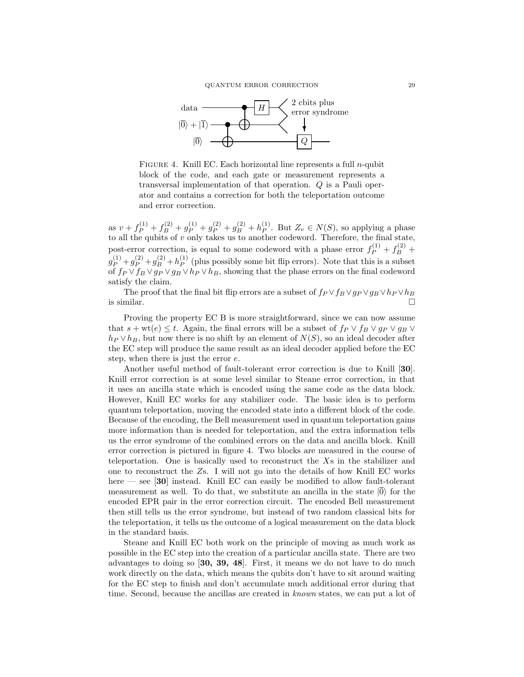

FIGURE 4. Knill EC. Each horizontal line represents a full *n*-qubit block of the code, and each gate or measurement represents a transversal implementation of that operation. Q is a Pauli operator and contains a correction for both the teleportation outcome and error correction.

as  $v + f_P^{(1)} + f_B^{(2)} + g_P^{(1)} + g_P^{(2)} + g_B^{(2)} + h_P^{(1)}$  $P_P^{(1)}$ . But  $Z_v \in N(S)$ , so applying a phase to all the qubits of v only takes us to another codeword. Therefore, the final state, post-error correction, is equal to some codeword with a phase error  $f_P^{(1)} + f_B^{(2)} +$  $g_P^{(1)} + g_P^{(2)} + g_B^{(2)} + h_P^{(1)}$  $_{P}^{(1)}$  (plus possibly some bit flip errors). Note that this is a subset of  $f_P \vee f_B \vee g_P \vee g_B \vee h_P \vee h_B$ , showing that the phase errors on the final codeword satisfy the claim.

The proof that the final bit flip errors are a subset of  $f_P \vee f_B \vee g_P \vee g_B \vee h_P \vee h_B$ is similar.  $\Box$ 

Proving the property EC B is more straightforward, since we can now assume that  $s + wt(e) \leq t$ . Again, the final errors will be a subset of  $f_P \vee f_B \vee g_P \vee g_B \vee f_A$  $h_P \vee h_B$ , but now there is no shift by an element of  $N(S)$ , so an ideal decoder after the EC step will produce the same result as an ideal decoder applied before the EC step, when there is just the error e.

Another useful method of fault-tolerant error correction is due to Knill [30]. Knill error correction is at some level similar to Steane error correction, in that it uses an ancilla state which is encoded using the same code as the data block. However, Knill EC works for any stabilizer code. The basic idea is to perform quantum teleportation, moving the encoded state into a different block of the code. Because of the encoding, the Bell measurement used in quantum teleportation gains more information than is needed for teleportation, and the extra information tells us the error syndrome of the combined errors on the data and ancilla block. Knill error correction is pictured in figure 4. Two blocks are measured in the course of teleportation. One is basically used to reconstruct the Xs in the stabilizer and one to reconstruct the Zs. I will not go into the details of how Knill EC works here — see  $[30]$  instead. Knill EC can easily be modified to allow fault-tolerant measurement as well. To do that, we substitute an ancilla in the state  $|0\rangle$  for the encoded EPR pair in the error correction circuit. The encoded Bell measurement then still tells us the error syndrome, but instead of two random classical bits for the teleportation, it tells us the outcome of a logical measurement on the data block in the standard basis.

Steane and Knill EC both work on the principle of moving as much work as possible in the EC step into the creation of a particular ancilla state. There are two advantages to doing so [30, 39, 48]. First, it means we do not have to do much work directly on the data, which means the qubits don't have to sit around waiting for the EC step to finish and don't accumulate much additional error during that time. Second, because the ancillas are created in known states, we can put a lot of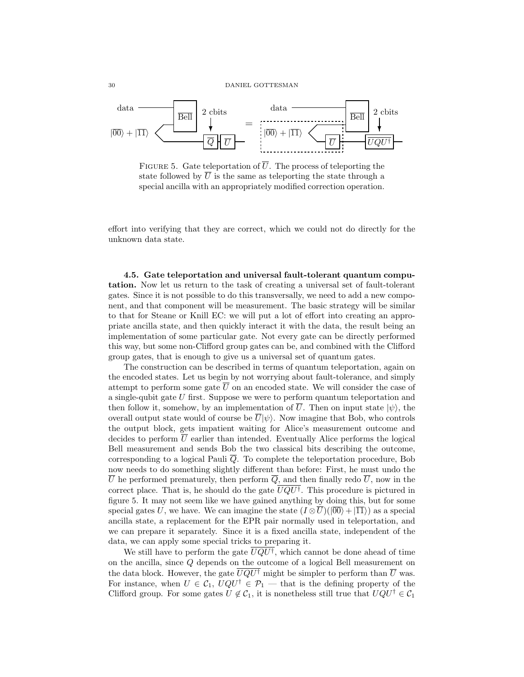

FIGURE 5. Gate teleportation of  $\overline{U}$ . The process of teleporting the state followed by  $\overline{U}$  is the same as teleporting the state through a special ancilla with an appropriately modified correction operation.

effort into verifying that they are correct, which we could not do directly for the unknown data state.

4.5. Gate teleportation and universal fault-tolerant quantum computation. Now let us return to the task of creating a universal set of fault-tolerant gates. Since it is not possible to do this transversally, we need to add a new component, and that component will be measurement. The basic strategy will be similar to that for Steane or Knill EC: we will put a lot of effort into creating an appropriate ancilla state, and then quickly interact it with the data, the result being an implementation of some particular gate. Not every gate can be directly performed this way, but some non-Clifford group gates can be, and combined with the Clifford group gates, that is enough to give us a universal set of quantum gates.

The construction can be described in terms of quantum teleportation, again on the encoded states. Let us begin by not worrying about fault-tolerance, and simply attempt to perform some gate  $\overline{U}$  on an encoded state. We will consider the case of a single-qubit gate U first. Suppose we were to perform quantum teleportation and then follow it, somehow, by an implementation of  $\overline{U}$ . Then on input state  $|\psi\rangle$ , the overall output state would of course be  $\overline{U}|\psi\rangle$ . Now imagine that Bob, who controls the output block, gets impatient waiting for Alice's measurement outcome and decides to perform  $\overline{U}$  earlier than intended. Eventually Alice performs the logical Bell measurement and sends Bob the two classical bits describing the outcome, corresponding to a logical Pauli  $\overline{Q}$ . To complete the teleportation procedure, Bob now needs to do something slightly different than before: First, he must undo the  $\overline{U}$  he performed prematurely, then perform  $\overline{Q}$ , and then finally redo  $\overline{U}$ , now in the correct place. That is, he should do the gate  $UQU^{\dagger}$ . This procedure is pictured in figure 5. It may not seem like we have gained anything by doing this, but for some special gates U, we have. We can imagine the state  $(I \otimes \overline{U})(|\overline{00}\rangle + |\overline{11}\rangle)$  as a special ancilla state, a replacement for the EPR pair normally used in teleportation, and we can prepare it separately. Since it is a fixed ancilla state, independent of the data, we can apply some special tricks to preparing it.

We still have to perform the gate  $UQU^{\dagger}$ , which cannot be done ahead of time on the ancilla, since Q depends on the outcome of a logical Bell measurement on the data block. However, the gate  $\overline{UQU^{\dagger}}$  might be simpler to perform than  $\overline{U}$  was. For instance, when  $U \in \mathcal{C}_1$ ,  $UQU^{\dagger} \in \mathcal{P}_1$  — that is the defining property of the Clifford group. For some gates  $U \notin C_1$ , it is nonetheless still true that  $UQU^{\dagger} \in C_1$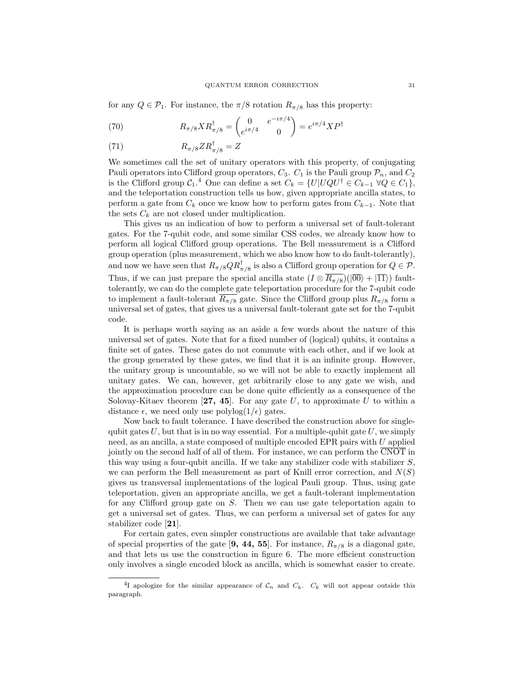for any  $Q \in \mathcal{P}_1$ . For instance, the  $\pi/8$  rotation  $R_{\pi/8}$  has this property:

(70) 
$$
R_{\pi/8} X R_{\pi/8}^{\dagger} = \begin{pmatrix} 0 & e^{-i\pi/4} \\ e^{i\pi/4} & 0 \end{pmatrix} = e^{i\pi/4} X P^{\dagger}
$$

$$
(71) \t\t R_{\pi/8} Z R_{\pi/8}^{\dagger} = Z
$$

We sometimes call the set of unitary operators with this property, of conjugating Pauli operators into Clifford group operators,  $C_3$ .  $C_1$  is the Pauli group  $\mathcal{P}_n$ , and  $C_2$ is the Clifford group  $C_1$ <sup>4</sup>. One can define a set  $C_k = \{U|UQU^{\dagger} \in C_{k-1} \ \forall Q \in C_1\},\$ and the teleportation construction tells us how, given appropriate ancilla states, to perform a gate from  $C_k$  once we know how to perform gates from  $C_{k-1}$ . Note that the sets  $C_k$  are not closed under multiplication.

This gives us an indication of how to perform a universal set of fault-tolerant gates. For the 7-qubit code, and some similar CSS codes, we already know how to perform all logical Clifford group operations. The Bell measurement is a Clifford group operation (plus measurement, which we also know how to do fault-tolerantly), and now we have seen that  $R_{\pi/8} Q R_{\pi/8}^{\dagger}$  is also a Clifford group operation for  $Q \in \mathcal{P}$ . Thus, if we can just prepare the special ancilla state  $(I \otimes \overline{R_{\pi/8}})(\ket{\overline{00}} + \ket{\overline{11}})$  faulttolerantly, we can do the complete gate teleportation procedure for the 7-qubit code to implement a fault-tolerant  $\overline{R_{\pi/8}}$  gate. Since the Clifford group plus  $R_{\pi/8}$  form a universal set of gates, that gives us a universal fault-tolerant gate set for the 7-qubit code.

It is perhaps worth saying as an aside a few words about the nature of this universal set of gates. Note that for a fixed number of (logical) qubits, it contains a finite set of gates. These gates do not commute with each other, and if we look at the group generated by these gates, we find that it is an infinite group. However, the unitary group is uncountable, so we will not be able to exactly implement all unitary gates. We can, however, get arbitrarily close to any gate we wish, and the approximation procedure can be done quite efficiently as a consequence of the Solovay-Kitaev theorem  $[27, 45]$ . For any gate U, to approximate U to within a distance  $\epsilon$ , we need only use polylog $(1/\epsilon)$  gates.

Now back to fault tolerance. I have described the construction above for singlequbit gates  $U$ , but that is in no way essential. For a multiple-qubit gate  $U$ , we simply need, as an ancilla, a state composed of multiple encoded EPR pairs with U applied jointly on the second half of all of them. For instance, we can perform the CNOT in this way using a four-qubit ancilla. If we take any stabilizer code with stabilizer  $S$ , we can perform the Bell measurement as part of Knill error correction, and  $N(S)$ gives us transversal implementations of the logical Pauli group. Thus, using gate teleportation, given an appropriate ancilla, we get a fault-tolerant implementation for any Clifford group gate on S. Then we can use gate teleportation again to get a universal set of gates. Thus, we can perform a universal set of gates for any stabilizer code [21].

For certain gates, even simpler constructions are available that take advantage of special properties of the gate [9, 44, 55]. For instance,  $R_{\pi/8}$  is a diagonal gate, and that lets us use the construction in figure 6. The more efficient construction only involves a single encoded block as ancilla, which is somewhat easier to create.

<sup>&</sup>lt;sup>4</sup>I apologize for the similar appearance of  $\mathcal{C}_n$  and  $C_k$ .  $C_k$  will not appear outside this paragraph.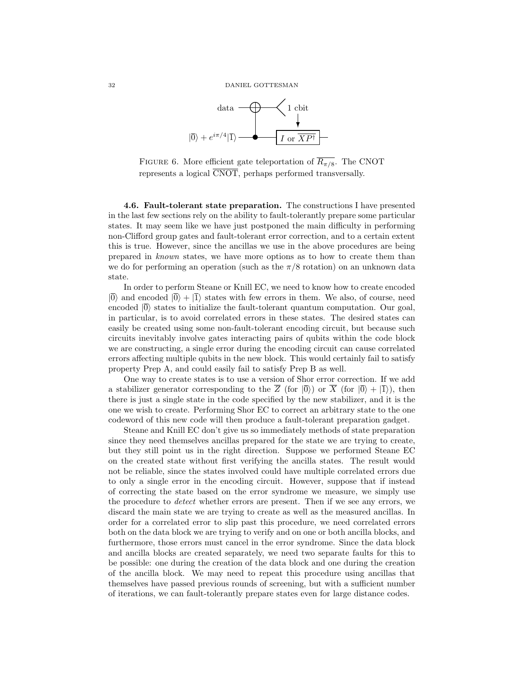

FIGURE 6. More efficient gate teleportation of  $\overline{R_{\pi/8}}$ . The CNOT represents a logical CNOT, perhaps performed transversally.

4.6. Fault-tolerant state preparation. The constructions I have presented in the last few sections rely on the ability to fault-tolerantly prepare some particular states. It may seem like we have just postponed the main difficulty in performing non-Clifford group gates and fault-tolerant error correction, and to a certain extent this is true. However, since the ancillas we use in the above procedures are being prepared in known states, we have more options as to how to create them than we do for performing an operation (such as the  $\pi/8$  rotation) on an unknown data state.

In order to perform Steane or Knill EC, we need to know how to create encoded  $|\overline{0}\rangle$  and encoded  $|\overline{0}\rangle + |\overline{1}\rangle$  states with few errors in them. We also, of course, need encoded  $|\overline{0}\rangle$  states to initialize the fault-tolerant quantum computation. Our goal, in particular, is to avoid correlated errors in these states. The desired states can easily be created using some non-fault-tolerant encoding circuit, but because such circuits inevitably involve gates interacting pairs of qubits within the code block we are constructing, a single error during the encoding circuit can cause correlated errors affecting multiple qubits in the new block. This would certainly fail to satisfy property Prep A, and could easily fail to satisfy Prep B as well.

One way to create states is to use a version of Shor error correction. If we add a stabilizer generator corresponding to the  $\overline{Z}$  (for  $|\overline{0}\rangle$ ) or  $\overline{X}$  (for  $|\overline{0}\rangle + |\overline{1}\rangle$ ), then there is just a single state in the code specified by the new stabilizer, and it is the one we wish to create. Performing Shor EC to correct an arbitrary state to the one codeword of this new code will then produce a fault-tolerant preparation gadget.

Steane and Knill EC don't give us so immediately methods of state preparation since they need themselves ancillas prepared for the state we are trying to create, but they still point us in the right direction. Suppose we performed Steane EC on the created state without first verifying the ancilla states. The result would not be reliable, since the states involved could have multiple correlated errors due to only a single error in the encoding circuit. However, suppose that if instead of correcting the state based on the error syndrome we measure, we simply use the procedure to detect whether errors are present. Then if we see any errors, we discard the main state we are trying to create as well as the measured ancillas. In order for a correlated error to slip past this procedure, we need correlated errors both on the data block we are trying to verify and on one or both ancilla blocks, and furthermore, those errors must cancel in the error syndrome. Since the data block and ancilla blocks are created separately, we need two separate faults for this to be possible: one during the creation of the data block and one during the creation of the ancilla block. We may need to repeat this procedure using ancillas that themselves have passed previous rounds of screening, but with a sufficient number of iterations, we can fault-tolerantly prepare states even for large distance codes.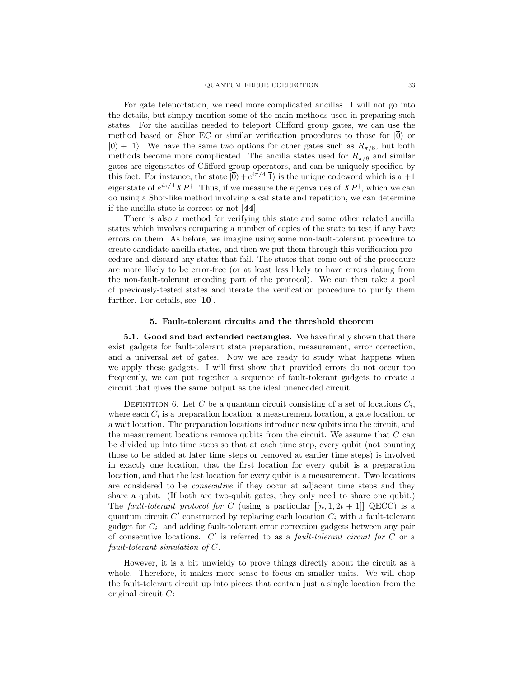For gate teleportation, we need more complicated ancillas. I will not go into the details, but simply mention some of the main methods used in preparing such states. For the ancillas needed to teleport Clifford group gates, we can use the method based on Shor EC or similar verification procedures to those for  $|0\rangle$  or  $|\overline{0}\rangle + |\overline{1}\rangle$ . We have the same two options for other gates such as  $R_{\pi/8}$ , but both methods become more complicated. The ancilla states used for  $R_{\pi/8}$  and similar gates are eigenstates of Clifford group operators, and can be uniquely specified by this fact. For instance, the state  $|\overline{0}\rangle + e^{i\pi/4}|\overline{1}\rangle$  is the unique codeword which is a +1 eigenstate of  $e^{i\pi/4}\overline{XP^{\dagger}}$ . Thus, if we measure the eigenvalues of  $\overline{XP^{\dagger}}$ , which we can do using a Shor-like method involving a cat state and repetition, we can determine if the ancilla state is correct or not [44].

There is also a method for verifying this state and some other related ancilla states which involves comparing a number of copies of the state to test if any have errors on them. As before, we imagine using some non-fault-tolerant procedure to create candidate ancilla states, and then we put them through this verification procedure and discard any states that fail. The states that come out of the procedure are more likely to be error-free (or at least less likely to have errors dating from the non-fault-tolerant encoding part of the protocol). We can then take a pool of previously-tested states and iterate the verification procedure to purify them further. For details, see [10].

#### 5. Fault-tolerant circuits and the threshold theorem

5.1. Good and bad extended rectangles. We have finally shown that there exist gadgets for fault-tolerant state preparation, measurement, error correction, and a universal set of gates. Now we are ready to study what happens when we apply these gadgets. I will first show that provided errors do not occur too frequently, we can put together a sequence of fault-tolerant gadgets to create a circuit that gives the same output as the ideal unencoded circuit.

DEFINITION 6. Let C be a quantum circuit consisting of a set of locations  $C_i$ , where each  $C_i$  is a preparation location, a measurement location, a gate location, or a wait location. The preparation locations introduce new qubits into the circuit, and the measurement locations remove qubits from the circuit. We assume that  $C$  can be divided up into time steps so that at each time step, every qubit (not counting those to be added at later time steps or removed at earlier time steps) is involved in exactly one location, that the first location for every qubit is a preparation location, and that the last location for every qubit is a measurement. Two locations are considered to be consecutive if they occur at adjacent time steps and they share a qubit. (If both are two-qubit gates, they only need to share one qubit.) The fault-tolerant protocol for C (using a particular  $[[n, 1, 2t + 1]]$  QECC) is a quantum circuit  $C'$  constructed by replacing each location  $C_i$  with a fault-tolerant gadget for  $C_i$ , and adding fault-tolerant error correction gadgets between any pair of consecutive locations.  $C'$  is referred to as a *fault-tolerant circuit for*  $C$  or a fault-tolerant simulation of C.

However, it is a bit unwieldy to prove things directly about the circuit as a whole. Therefore, it makes more sense to focus on smaller units. We will chop the fault-tolerant circuit up into pieces that contain just a single location from the original circuit C: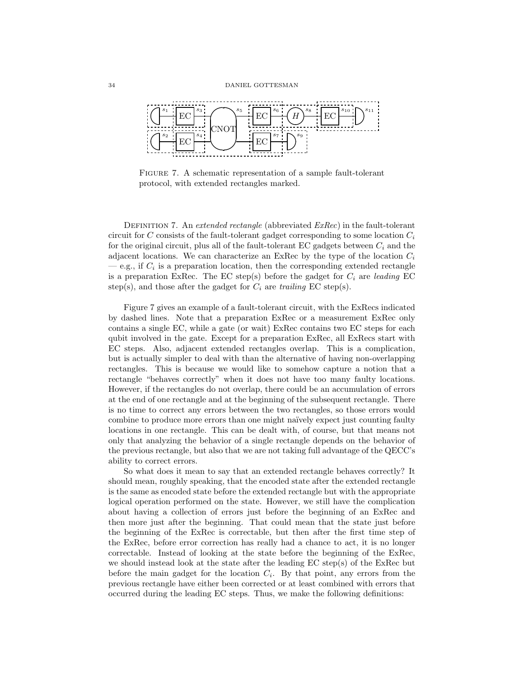

FIGURE 7. A schematic representation of a sample fault-tolerant protocol, with extended rectangles marked.

DEFINITION 7. An extended rectangle (abbreviated  $ExRec$ ) in the fault-tolerant circuit for C consists of the fault-tolerant gadget corresponding to some location  $C_i$ for the original circuit, plus all of the fault-tolerant EC gadgets between  $C_i$  and the adjacent locations. We can characterize an ExRec by the type of the location  $C_i$  $-$  e.g., if  $C_i$  is a preparation location, then the corresponding extended rectangle is a preparation ExRec. The EC step(s) before the gadget for  $C_i$  are leading EC step(s), and those after the gadget for  $C_i$  are trailing EC step(s).

Figure 7 gives an example of a fault-tolerant circuit, with the ExRecs indicated by dashed lines. Note that a preparation ExRec or a measurement ExRec only contains a single EC, while a gate (or wait) ExRec contains two EC steps for each qubit involved in the gate. Except for a preparation ExRec, all ExRecs start with EC steps. Also, adjacent extended rectangles overlap. This is a complication, but is actually simpler to deal with than the alternative of having non-overlapping rectangles. This is because we would like to somehow capture a notion that a rectangle "behaves correctly" when it does not have too many faulty locations. However, if the rectangles do not overlap, there could be an accumulation of errors at the end of one rectangle and at the beginning of the subsequent rectangle. There is no time to correct any errors between the two rectangles, so those errors would combine to produce more errors than one might naïvely expect just counting faulty locations in one rectangle. This can be dealt with, of course, but that means not only that analyzing the behavior of a single rectangle depends on the behavior of the previous rectangle, but also that we are not taking full advantage of the QECC's ability to correct errors.

So what does it mean to say that an extended rectangle behaves correctly? It should mean, roughly speaking, that the encoded state after the extended rectangle is the same as encoded state before the extended rectangle but with the appropriate logical operation performed on the state. However, we still have the complication about having a collection of errors just before the beginning of an ExRec and then more just after the beginning. That could mean that the state just before the beginning of the ExRec is correctable, but then after the first time step of the ExRec, before error correction has really had a chance to act, it is no longer correctable. Instead of looking at the state before the beginning of the ExRec, we should instead look at the state after the leading EC step(s) of the ExRec but before the main gadget for the location  $C_i$ . By that point, any errors from the previous rectangle have either been corrected or at least combined with errors that occurred during the leading EC steps. Thus, we make the following definitions: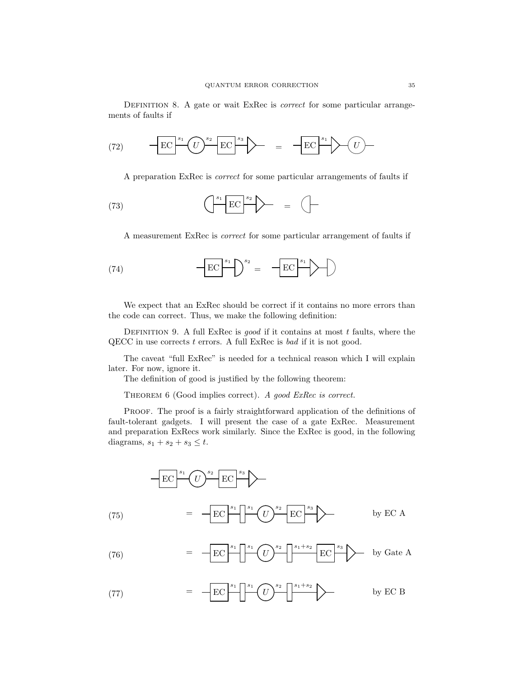DEFINITION 8. A gate or wait ExRec is *correct* for some particular arrangements of faults if

(72) 
$$
\left| \underbrace{\text{EC}}^{s_1} \underbrace{\text{UC}}^{s_2} \underbrace{\text{EC}}^{s_3} \right| \left| \right\rangle = \left| \underbrace{\text{EC}}^{s_1} \right\rangle \left| \underbrace{\text{UC}} \right|
$$

A preparation ExRec is correct for some particular arrangements of faults if

(73) 
$$
\left(\frac{s_1}{EC}\right)^{s_2} = \left(\right)
$$

A measurement ExRec is correct for some particular arrangement of faults if

(74) 
$$
-\mathbf{EC} \rightarrow s_1 \rightarrow s_2 = -\mathbf{EC} \rightarrow s_1 \rightarrow 0
$$

We expect that an ExRec should be correct if it contains no more errors than the code can correct. Thus, we make the following definition:

DEFINITION 9. A full ExRec is good if it contains at most  $t$  faults, where the QECC in use corrects t errors. A full ExRec is bad if it is not good.

The caveat "full ExRec" is needed for a technical reason which I will explain later. For now, ignore it.

The definition of good is justified by the following theorem:

THEOREM 6 (Good implies correct). A good ExRec is correct.

PROOF. The proof is a fairly straightforward application of the definitions of fault-tolerant gadgets. I will present the case of a gate ExRec. Measurement and preparation ExRecs work similarly. Since the ExRec is good, in the following diagrams,  $s_1 + s_2 + s_3 \leq t$ .



(77) 
$$
= \left[ \frac{\text{EC}}{\text{EC}} \right]^{\text{s}_1} \left( \frac{\text{s}_2}{\text{s}_1 + \text{s}_2} \right) \qquad \qquad \text{by EC B}
$$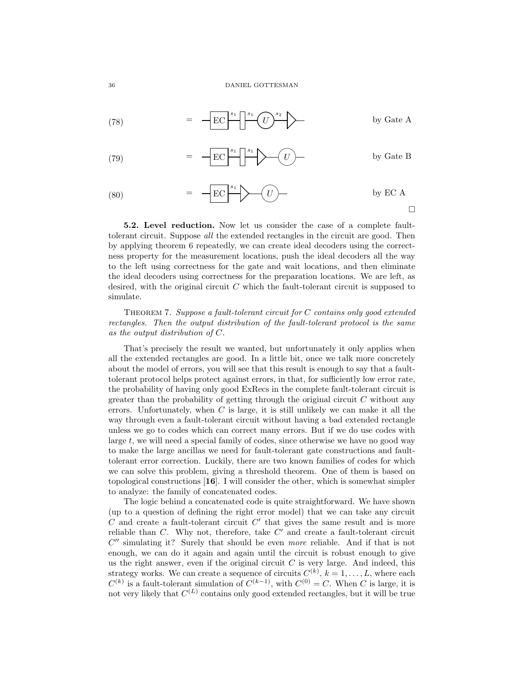(78) 
$$
= \frac{1}{\sqrt{\text{EC}}} \left\{ \frac{s_1}{s_2} \left( \frac{1}{s_2} \right)^{s_2} \right\} \qquad \text{by Gate A}
$$

(79) 
$$
= \left\lfloor \text{EC} \right\rfloor^{s_1} \left\lfloor \text{C} \right\rfloor^{s_2} \left\lfloor \text{C} \right\rfloor \qquad \text{by Gate B}
$$

(80) 
$$
= \left\lfloor \text{EC} \right\rfloor^{s_1} \left\rfloor \hspace{1.5cm} \right\rfloor \left\lfloor \text{CD} \right\rfloor \hspace{1.5cm} \text{by EC A}
$$

5.2. Level reduction. Now let us consider the case of a complete faulttolerant circuit. Suppose all the extended rectangles in the circuit are good. Then by applying theorem 6 repeatedly, we can create ideal decoders using the correctness property for the measurement locations, push the ideal decoders all the way to the left using correctness for the gate and wait locations, and then eliminate the ideal decoders using correctness for the preparation locations. We are left, as desired, with the original circuit  $C$  which the fault-tolerant circuit is supposed to simulate.

Theorem 7. Suppose a fault-tolerant circuit for C contains only good extended rectangles. Then the output distribution of the fault-tolerant protocol is the same as the output distribution of C.

That's precisely the result we wanted, but unfortunately it only applies when all the extended rectangles are good. In a little bit, once we talk more concretely about the model of errors, you will see that this result is enough to say that a faulttolerant protocol helps protect against errors, in that, for sufficiently low error rate, the probability of having only good ExRecs in the complete fault-tolerant circuit is greater than the probability of getting through the original circuit  $C$  without any errors. Unfortunately, when  $C$  is large, it is still unlikely we can make it all the way through even a fault-tolerant circuit without having a bad extended rectangle unless we go to codes which can correct many errors. But if we do use codes with large t, we will need a special family of codes, since otherwise we have no good way to make the large ancillas we need for fault-tolerant gate constructions and faulttolerant error correction. Luckily, there are two known families of codes for which we can solve this problem, giving a threshold theorem. One of them is based on topological constructions [16]. I will consider the other, which is somewhat simpler to analyze: the family of concatenated codes.

The logic behind a concatenated code is quite straightforward. We have shown (up to a question of defining the right error model) that we can take any circuit  $C$  and create a fault-tolerant circuit  $C'$  that gives the same result and is more reliable than  $C$ . Why not, therefore, take  $C'$  and create a fault-tolerant circuit  $C''$  simulating it? Surely that should be even more reliable. And if that is not enough, we can do it again and again until the circuit is robust enough to give us the right answer, even if the original circuit  $C$  is very large. And indeed, this strategy works. We can create a sequence of circuits  $C^{(k)}$ ,  $k = 1, \ldots, L$ , where each  $C^{(k)}$  is a fault-tolerant simulation of  $C^{(k-1)}$ , with  $C^{(0)} = C$ . When C is large, it is not very likely that  $C^{(L)}$  contains only good extended rectangles, but it will be true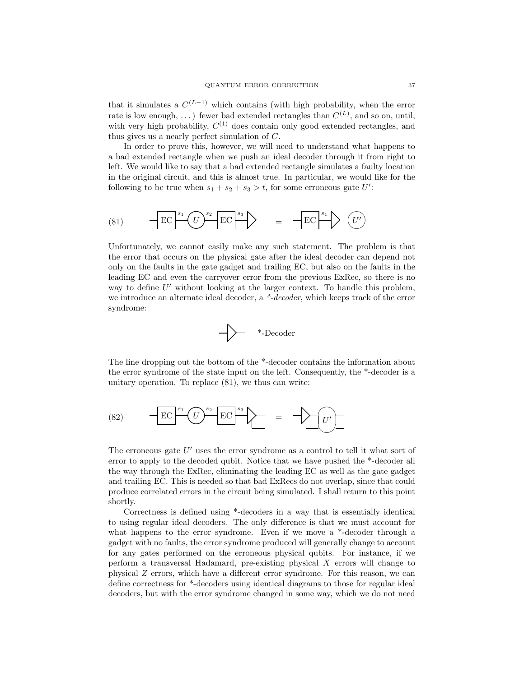that it simulates a  $C^{(L-1)}$  which contains (with high probability, when the error rate is low enough, ...) fewer bad extended rectangles than  $C^{(L)}$ , and so on, until, with very high probability,  $C^{(1)}$  does contain only good extended rectangles, and thus gives us a nearly perfect simulation of C.

In order to prove this, however, we will need to understand what happens to a bad extended rectangle when we push an ideal decoder through it from right to left. We would like to say that a bad extended rectangle simulates a faulty location in the original circuit, and this is almost true. In particular, we would like for the following to be true when  $s_1 + s_2 + s_3 > t$ , for some erroneous gate U':

(81) 
$$
\frac{\text{EC}}{\text{EC}} \frac{s_1}{\text{EC}} \frac{\text{EC}}{\text{EC}} \frac{s_3}{\text{EC}} \frac{\text{E}}{\text{C}} = \frac{\text{EC}}{\text{EC}} \frac{s_1}{\text{C}} \frac{\text{C}}{\text{C}} \frac{\text{C}}{\text{C}} \frac{\text{C}}{\text{C}} \frac{\text{C}}{\text{C}} \frac{\text{C}}{\text{C}} \frac{\text{C}}{\text{C}} \frac{\text{C}}{\text{C}} \frac{\text{C}}{\text{C}} \frac{\text{C}}{\text{C}} \frac{\text{C}}{\text{C}} \frac{\text{C}}{\text{C}} \frac{\text{C}}{\text{C}} \frac{\text{C}}{\text{C}} \frac{\text{C}}{\text{C}} \frac{\text{C}}{\text{C}} \frac{\text{C}}{\text{C}} \frac{\text{C}}{\text{C}} \frac{\text{C}}{\text{C}} \frac{\text{C}}{\text{C}} \frac{\text{C}}{\text{C}} \frac{\text{C}}{\text{C}} \frac{\text{C}}{\text{C}} \frac{\text{C}}{\text{C}} \frac{\text{C}}{\text{C}} \frac{\text{C}}{\text{C}} \frac{\text{C}}{\text{C}} \frac{\text{C}}{\text{C}} \frac{\text{C}}{\text{C}} \frac{\text{C}}{\text{C}} \frac{\text{C}}{\text{C}} \frac{\text{C}}{\text{C}} \frac{\text{C}}{\text{C}} \frac{\text{C}}{\text{C}} \frac{\text{C}}{\text{C}} \frac{\text{C}}{\text{C}} \frac{\text{C}}{\text{C}} \frac{\text{C}}{\text{C}} \frac{\text{C}}{\text{C}} \frac{\text{C}}{\text{C}} \frac{\text{C}}{\text{C}} \frac{\text{C}}{\text{C}} \frac{\text{C}}{\text{C}} \frac{\text{C}}{\text{C}} \frac{\text{C}}{\text{C}} \frac{\text{C}}{\text{C}} \frac{\text{C}}{\text{C}} \frac{\text{C}}{\text{C}} \frac{\text{C}}{\text{C}} \frac{\text{C}}{\text{C}} \frac{\text{C}}{\text{C}} \frac{\text{C}}{\text{C}} \frac{\text{C}}{\text{C}} \frac{\text{C}}{\text{C}} \frac{\text{C}}{\text{C}} \frac{\text{C}}{\text{C}} \frac{\text{C}}{\text{C}} \frac
$$

Unfortunately, we cannot easily make any such statement. The problem is that the error that occurs on the physical gate after the ideal decoder can depend not only on the faults in the gate gadget and trailing EC, but also on the faults in the leading EC and even the carryover error from the previous ExRec, so there is no way to define  $U'$  without looking at the larger context. To handle this problem, we introduce an alternate ideal decoder, a  $*decoder$ , which keeps track of the error syndrome:

$$
\begin{picture}(120,10) \put(0,0){\line(1,0){10}} \put(15,0){\line(1,0){10}} \put(15,0){\line(1,0){10}} \put(15,0){\line(1,0){10}} \put(15,0){\line(1,0){10}} \put(15,0){\line(1,0){10}} \put(15,0){\line(1,0){10}} \put(15,0){\line(1,0){10}} \put(15,0){\line(1,0){10}} \put(15,0){\line(1,0){10}} \put(15,0){\line(1,0){10}} \put(15,0){\line(1,0){10}} \put(15,0){\line(1,0){10}} \put(15,0){\line(1,0){10}} \put(15,0){\line(1,0){10}} \put(15,0){\line(1,0){10}} \put(15,0){\line(1,0){10}} \put(15,0){\line(1,0){10}} \put(15,0){\line(1,0){10}} \put(15,0){\line(1,0){10}} \put(15,0){\line(1,0){10}} \put(15,0){\line(1,0){10}} \put(15,0){\line(1,0){10}} \put(15,0){\line(1,0){10}} \put(15,0){\line(1,0){10}} \put(15,0){\line(1,0){10}} \put(15,0){\line(1,0){10}} \put(15,0){\line(1,0){10}} \put(15,0){\line(1,0){10}} \put(15,0){\line(1,0){10}} \put(15,0){\line(1,0){10}} \put(15,0){\line(1,0){10}} \put(15,0){\line(1,0){10}} \put(15,0){\line(1,0){10}} \put(15,0){\line(1,0){10}} \put(15,0){\line(1,0){10}} \put(15,0){\line(1,0){10}} \put(15,0){\line(1,0){10}} \put(15,0){\line(1,0){10}} \put(15,0){\line(1,0){10}} \put(15,0){\line(1,0){10}} \put(15,0){\line(
$$

The line dropping out the bottom of the \*-decoder contains the information about the error syndrome of the state input on the left. Consequently, the \*-decoder is a unitary operation. To replace (81), we thus can write:

(82) 
$$
\left\{\text{EC} \atop{\text{EC}}\right\}^{s_1} \text{UC} \atop{\text{EC}}^{s_2} \text{EC} \atop{\text{EC}}^{s_3} \left\{\right\} = \left\{\text{C} \atop{\text{C}'}\right\}.
$$

The erroneous gate  $U'$  uses the error syndrome as a control to tell it what sort of error to apply to the decoded qubit. Notice that we have pushed the \*-decoder all the way through the ExRec, eliminating the leading EC as well as the gate gadget and trailing EC. This is needed so that bad ExRecs do not overlap, since that could produce correlated errors in the circuit being simulated. I shall return to this point shortly.

Correctness is defined using \*-decoders in a way that is essentially identical to using regular ideal decoders. The only difference is that we must account for what happens to the error syndrome. Even if we move a \*-decoder through a gadget with no faults, the error syndrome produced will generally change to account for any gates performed on the erroneous physical qubits. For instance, if we perform a transversal Hadamard, pre-existing physical X errors will change to physical Z errors, which have a different error syndrome. For this reason, we can define correctness for \*-decoders using identical diagrams to those for regular ideal decoders, but with the error syndrome changed in some way, which we do not need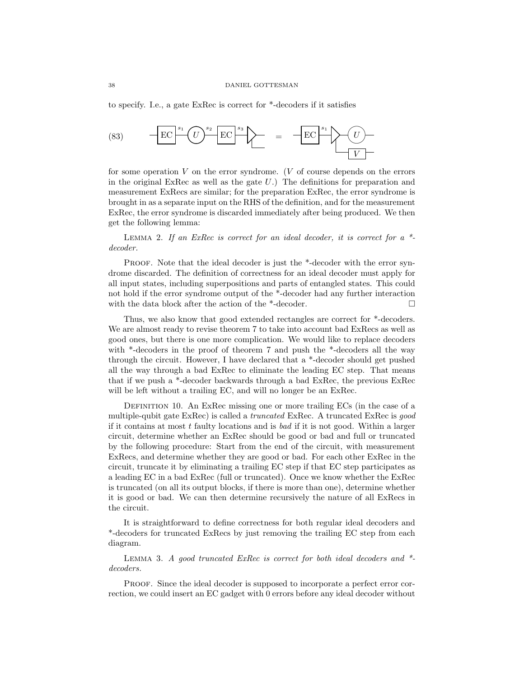to specify. I.e., a gate ExRec is correct for \*-decoders if it satisfies

(83) 
$$
\frac{\text{EC}}{\text{EC}} \frac{s_1}{\text{EC}} \frac{\text{EC}}{\text{EC}} \frac{s_3}{\text{EC}} = \frac{\text{EC}}{\text{EC}} \frac{s_1}{\text{VC}} \frac{\text{C}}{\text{C}} \frac{\text{C}}{\text{C}} \frac{\text{C}}{\text{C}} \frac{\text{C}}{\text{C}} \frac{\text{C}}{\text{C}} \frac{\text{C}}{\text{C}} \frac{\text{C}}{\text{C}} \frac{\text{C}}{\text{C}} \frac{\text{C}}{\text{C}} \frac{\text{C}}{\text{C}} \frac{\text{C}}{\text{C}} \frac{\text{C}}{\text{C}} \frac{\text{C}}{\text{C}} \frac{\text{C}}{\text{C}} \frac{\text{C}}{\text{C}} \frac{\text{C}}{\text{C}} \frac{\text{C}}{\text{C}} \frac{\text{C}}{\text{C}} \frac{\text{C}}{\text{C}} \frac{\text{C}}{\text{C}} \frac{\text{C}}{\text{C}} \frac{\text{C}}{\text{C}} \frac{\text{C}}{\text{C}} \frac{\text{C}}{\text{C}} \frac{\text{C}}{\text{C}} \frac{\text{C}}{\text{C}} \frac{\text{C}}{\text{C}} \frac{\text{C}}{\text{C}} \frac{\text{C}}{\text{C}} \frac{\text{C}}{\text{C}} \frac{\text{C}}{\text{C}} \frac{\text{C}}{\text{C}} \frac{\text{C}}{\text{C}} \frac{\text{C}}{\text{C}} \frac{\text{C}}{\text{C}} \frac{\text{C}}{\text{C}} \frac{\text{C}}{\text{C}} \frac{\text{C}}{\text{C}} \frac{\text{C}}{\text{C}} \frac{\text{C}}{\text{C}} \frac{\text{C}}{\text{C}} \frac{\text{C}}{\text{C}} \frac{\text{C}}{\text{C}} \frac{\text{C}}{\text{C}} \frac{\text{C}}{\text{C}} \frac{\text{C}}{\text{C}} \frac{\text{C}}{\text{C}} \frac{\text{C}}{\text{C}} \frac{\text{C}}{\text{C}} \frac{\text{C}}{\text{C}} \frac{\text{C}}{\text{C}} \frac{\text{C}}{\text{C}} \frac{\text{C}}{\text{C}} \frac{\text{C}}{\text{C}} \frac{\text{C}}{\text{C}} \frac{\text{C}}{\text{C}} \frac{\text{C}}{\text{C}} \frac
$$

for some operation  $V$  on the error syndrome. ( $V$  of course depends on the errors in the original ExRec as well as the gate  $U$ .) The definitions for preparation and measurement ExRecs are similar; for the preparation ExRec, the error syndrome is brought in as a separate input on the RHS of the definition, and for the measurement ExRec, the error syndrome is discarded immediately after being produced. We then get the following lemma:

LEMMA 2. If an ExRec is correct for an ideal decoder, it is correct for a  $*$ decoder.

PROOF. Note that the ideal decoder is just the \*-decoder with the error syndrome discarded. The definition of correctness for an ideal decoder must apply for all input states, including superpositions and parts of entangled states. This could not hold if the error syndrome output of the \*-decoder had any further interaction with the data block after the action of the  $*$ -decoder.

Thus, we also know that good extended rectangles are correct for \*-decoders. We are almost ready to revise theorem 7 to take into account bad ExRecs as well as good ones, but there is one more complication. We would like to replace decoders with  $*$ -decoders in the proof of theorem 7 and push the  $*$ -decoders all the way through the circuit. However, I have declared that a \*-decoder should get pushed all the way through a bad ExRec to eliminate the leading EC step. That means that if we push a \*-decoder backwards through a bad ExRec, the previous ExRec will be left without a trailing EC, and will no longer be an ExRec.

DEFINITION 10. An ExRec missing one or more trailing ECs (in the case of a multiple-qubit gate ExRec) is called a truncated ExRec. A truncated ExRec is good if it contains at most  $t$  faulty locations and is bad if it is not good. Within a larger circuit, determine whether an ExRec should be good or bad and full or truncated by the following procedure: Start from the end of the circuit, with measurement ExRecs, and determine whether they are good or bad. For each other ExRec in the circuit, truncate it by eliminating a trailing EC step if that EC step participates as a leading EC in a bad ExRec (full or truncated). Once we know whether the ExRec is truncated (on all its output blocks, if there is more than one), determine whether it is good or bad. We can then determine recursively the nature of all ExRecs in the circuit.

It is straightforward to define correctness for both regular ideal decoders and \*-decoders for truncated ExRecs by just removing the trailing EC step from each diagram.

LEMMA 3. A good truncated ExRec is correct for both ideal decoders and  $*$ decoders.

PROOF. Since the ideal decoder is supposed to incorporate a perfect error correction, we could insert an EC gadget with 0 errors before any ideal decoder without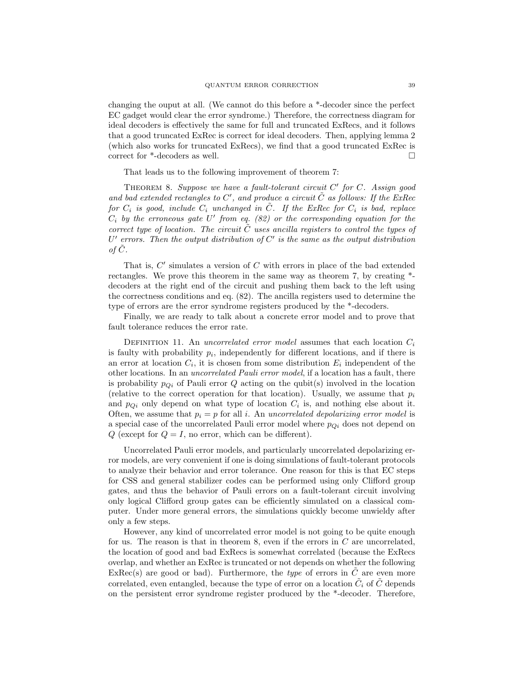changing the ouput at all. (We cannot do this before a \*-decoder since the perfect EC gadget would clear the error syndrome.) Therefore, the correctness diagram for ideal decoders is effectively the same for full and truncated ExRecs, and it follows that a good truncated ExRec is correct for ideal decoders. Then, applying lemma 2 (which also works for truncated ExRecs), we find that a good truncated ExRec is correct for \*-decoders as well.

That leads us to the following improvement of theorem 7:

THEOREM 8. Suppose we have a fault-tolerant circuit  $C'$  for  $C$ . Assign good and bad extended rectangles to  $C'$ , and produce a circuit  $\tilde{C}$  as follows: If the ExRec for  $C_i$  is good, include  $C_i$  unchanged in  $\tilde{C}$ . If the ExRec for  $C_i$  is bad, replace  $C_i$  by the erroneous gate U' from eq. (82) or the corresponding equation for the correct type of location. The circuit  $\tilde{C}$  uses ancilla registers to control the types of  $U'$  errors. Then the output distribution of  $C'$  is the same as the output distribution of  $\tilde{C}$ .

That is,  $C'$  simulates a version of  $C$  with errors in place of the bad extended rectangles. We prove this theorem in the same way as theorem 7, by creating \* decoders at the right end of the circuit and pushing them back to the left using the correctness conditions and eq. (82). The ancilla registers used to determine the type of errors are the error syndrome registers produced by the \*-decoders.

Finally, we are ready to talk about a concrete error model and to prove that fault tolerance reduces the error rate.

DEFINITION 11. An uncorrelated error model assumes that each location  $C_i$ is faulty with probability  $p_i$ , independently for different locations, and if there is an error at location  $C_i$ , it is chosen from some distribution  $E_i$  independent of the other locations. In an uncorrelated Pauli error model, if a location has a fault, there is probability  $p_{Qi}$  of Pauli error Q acting on the qubit(s) involved in the location (relative to the correct operation for that location). Usually, we assume that  $p_i$ and  $p_{Qi}$  only depend on what type of location  $C_i$  is, and nothing else about it. Often, we assume that  $p_i = p$  for all i. An uncorrelated depolarizing error model is a special case of the uncorrelated Pauli error model where  $p_{Qi}$  does not depend on  $Q$  (except for  $Q = I$ , no error, which can be different).

Uncorrelated Pauli error models, and particularly uncorrelated depolarizing error models, are very convenient if one is doing simulations of fault-tolerant protocols to analyze their behavior and error tolerance. One reason for this is that EC steps for CSS and general stabilizer codes can be performed using only Clifford group gates, and thus the behavior of Pauli errors on a fault-tolerant circuit involving only logical Clifford group gates can be efficiently simulated on a classical computer. Under more general errors, the simulations quickly become unwieldy after only a few steps.

However, any kind of uncorrelated error model is not going to be quite enough for us. The reason is that in theorem 8, even if the errors in C are uncorrelated, the location of good and bad ExRecs is somewhat correlated (because the ExRecs overlap, and whether an ExRec is truncated or not depends on whether the following  $ExRec(s)$  are good or bad). Furthermore, the *type* of errors in  $C$  are even more correlated, even entangled, because the type of error on a location  $\tilde{C}_i$  of  $\tilde{C}$  depends on the persistent error syndrome register produced by the \*-decoder. Therefore,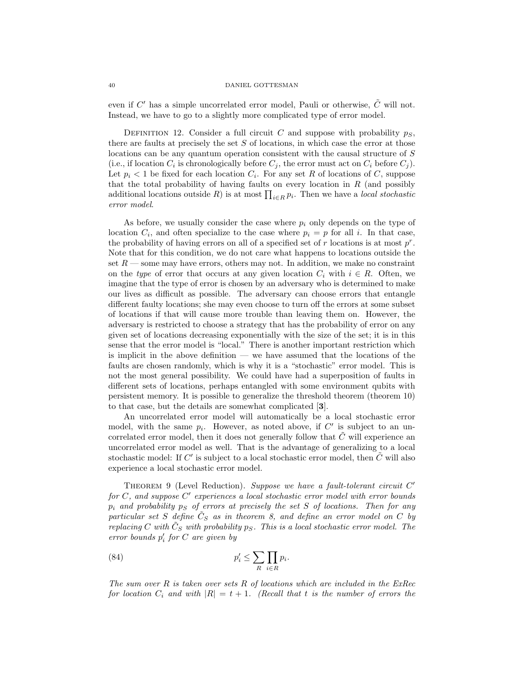even if  $C'$  has a simple uncorrelated error model, Pauli or otherwise,  $\tilde{C}$  will not. Instead, we have to go to a slightly more complicated type of error model.

DEFINITION 12. Consider a full circuit C and suppose with probability  $p<sub>S</sub>$ , there are faults at precisely the set S of locations, in which case the error at those locations can be any quantum operation consistent with the causal structure of S (i.e., if location  $C_i$  is chronologically before  $C_j$ , the error must act on  $C_i$  before  $C_j$ ). Let  $p_i < 1$  be fixed for each location  $C_i$ . For any set R of locations of C, suppose that the total probability of having faults on every location in  $R$  (and possibly additional locations outside R) is at most  $\prod_{i \in R} p_i$ . Then we have a *local stochastic* error model.

As before, we usually consider the case where  $p_i$  only depends on the type of location  $C_i$ , and often specialize to the case where  $p_i = p$  for all i. In that case, the probability of having errors on all of a specified set of  $r$  locations is at most  $p^r$ . Note that for this condition, we do not care what happens to locations outside the set  $R$  — some may have errors, others may not. In addition, we make no constraint on the type of error that occurs at any given location  $C_i$  with  $i \in R$ . Often, we imagine that the type of error is chosen by an adversary who is determined to make our lives as difficult as possible. The adversary can choose errors that entangle different faulty locations; she may even choose to turn off the errors at some subset of locations if that will cause more trouble than leaving them on. However, the adversary is restricted to choose a strategy that has the probability of error on any given set of locations decreasing exponentially with the size of the set; it is in this sense that the error model is "local." There is another important restriction which is implicit in the above definition — we have assumed that the locations of the faults are chosen randomly, which is why it is a "stochastic" error model. This is not the most general possibility. We could have had a superposition of faults in different sets of locations, perhaps entangled with some environment qubits with persistent memory. It is possible to generalize the threshold theorem (theorem 10) to that case, but the details are somewhat complicated [3].

An uncorrelated error model will automatically be a local stochastic error model, with the same  $p_i$ . However, as noted above, if  $C'$  is subject to an uncorrelated error model, then it does not generally follow that  $\tilde{C}$  will experience an uncorrelated error model as well. That is the advantage of generalizing to a local stochastic model: If  $C'$  is subject to a local stochastic error model, then  $\tilde{C}$  will also experience a local stochastic error model.

THEOREM 9 (Level Reduction). Suppose we have a fault-tolerant circuit C' for  $C$ , and suppose  $C'$  experiences a local stochastic error model with error bounds  $p_i$  and probability  $p_S$  of errors at precisely the set S of locations. Then for any particular set S define  $\tilde{C}_S$  as in theorem 8, and define an error model on C by replacing C with  $\tilde{C}_S$  with probability  $p_S$ . This is a local stochastic error model. The error bounds  $p'_i$  for  $C$  are given by

(84) 
$$
p'_i \leq \sum_R \prod_{i \in R} p_i.
$$

The sum over R is taken over sets R of locations which are included in the  $ExRec$ for location  $C_i$  and with  $|R| = t + 1$ . (Recall that t is the number of errors the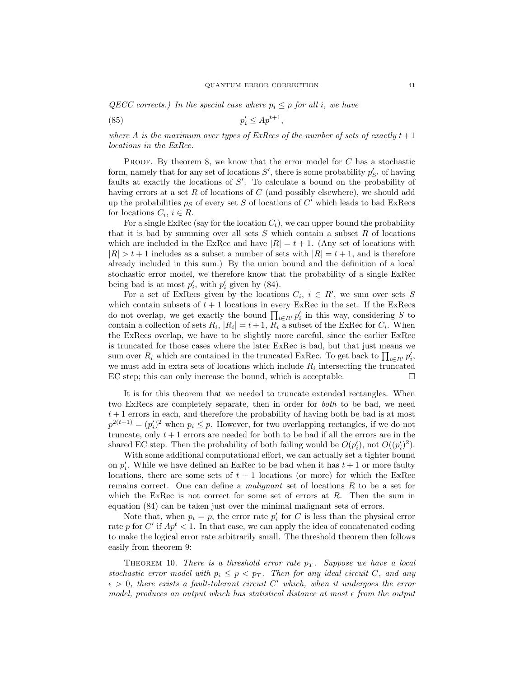QECC corrects.) In the special case where  $p_i \leq p$  for all i, we have

$$
(85) \t\t\t p'_i \le Ap^{t+1},
$$

where A is the maximum over types of ExRecs of the number of sets of exactly  $t+1$ locations in the ExRec.

PROOF. By theorem 8, we know that the error model for C has a stochastic form, namely that for any set of locations  $S'$ , there is some probability  $p'_{S'}$  of having faults at exactly the locations of  $S'$ . To calculate a bound on the probability of having errors at a set  $R$  of locations of  $C$  (and possibly elsewhere), we should add up the probabilities  $p_S$  of every set S of locations of C' which leads to bad ExRecs for locations  $C_i$ ,  $i \in R$ .

For a single ExRec (say for the location  $C_i$ ), we can upper bound the probability that it is bad by summing over all sets  $S$  which contain a subset  $R$  of locations which are included in the ExRec and have  $|R| = t + 1$ . (Any set of locations with  $|R| > t + 1$  includes as a subset a number of sets with  $|R| = t + 1$ , and is therefore already included in this sum.) By the union bound and the definition of a local stochastic error model, we therefore know that the probability of a single ExRec being bad is at most  $p'_i$ , with  $p'_i$  given by (84).

For a set of ExRecs given by the locations  $C_i$ ,  $i \in R'$ , we sum over sets S which contain subsets of  $t + 1$  locations in every ExRec in the set. If the ExRecs do not overlap, we get exactly the bound  $\prod_{i\in R'} p'_i$  in this way, considering S to contain a collection of sets  $R_i$ ,  $|R_i| = t + 1$ ,  $R_i$  a subset of the ExRec for  $C_i$ . When the ExRecs overlap, we have to be slightly more careful, since the earlier ExRec is truncated for those cases where the later ExRec is bad, but that just means we sum over  $R_i$  which are contained in the truncated ExRec. To get back to  $\prod_{i \in R'} p'_i$ , we must add in extra sets of locations which include  $R_i$  intersecting the truncated EC step; this can only increase the bound, which is acceptable.  $\Box$ 

It is for this theorem that we needed to truncate extended rectangles. When two ExRecs are completely separate, then in order for both to be bad, we need  $t+1$  errors in each, and therefore the probability of having both be bad is at most  $p^{2(t+1)} = (p'_i)^2$  when  $p_i \leq p$ . However, for two overlapping rectangles, if we do not truncate, only  $t + 1$  errors are needed for both to be bad if all the errors are in the shared EC step. Then the probability of both failing would be  $O(p_i')$ , not  $O((p_i')^2)$ .

With some additional computational effort, we can actually set a tighter bound on  $p'_i$ . While we have defined an ExRec to be bad when it has  $t + 1$  or more faulty locations, there are some sets of  $t + 1$  locations (or more) for which the ExRec remains correct. One can define a *malignant* set of locations  $R$  to be a set for which the ExRec is not correct for some set of errors at  $R$ . Then the sum in equation (84) can be taken just over the minimal malignant sets of errors.

Note that, when  $p_i = p$ , the error rate  $p'_i$  for C is less than the physical error rate p for C' if  $Ap<sup>t</sup> < 1$ . In that case, we can apply the idea of concatenated coding to make the logical error rate arbitrarily small. The threshold theorem then follows easily from theorem 9:

THEOREM 10. There is a threshold error rate  $p_T$ . Suppose we have a local stochastic error model with  $p_i \leq p \leq p_T$ . Then for any ideal circuit C, and any  $\epsilon > 0$ , there exists a fault-tolerant circuit C' which, when it undergoes the error model, produces an output which has statistical distance at most  $\epsilon$  from the output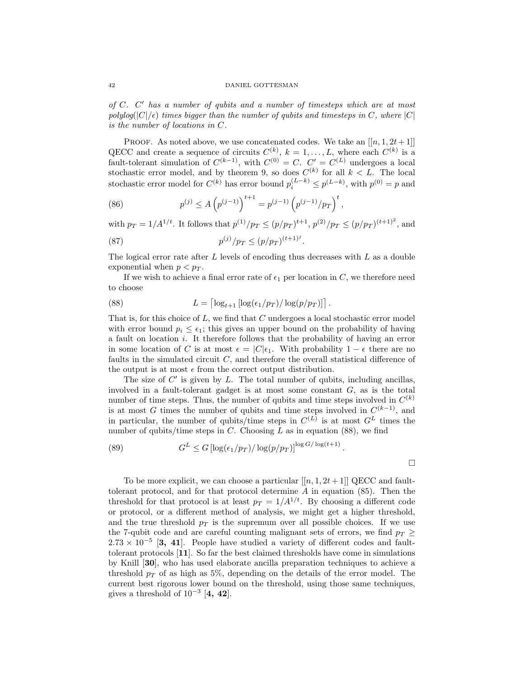of  $C$ .  $C'$  has a number of qubits and a number of timesteps which are at most polylog( $|C|/\epsilon$ ) times bigger than the number of qubits and timesteps in C, where  $|C|$ is the number of locations in C.

PROOF. As noted above, we use concatenated codes. We take an  $[[n, 1, 2t + 1]]$ QECC and create a sequence of circuits  $C^{(k)}$ ,  $k = 1, ..., L$ , where each  $C^{(k)}$  is a fault-tolerant simulation of  $C^{(k-1)}$ , with  $C^{(0)} = C$ .  $C' = C^{(L)}$  undergoes a local stochastic error model, and by theorem 9, so does  $C^{(k)}$  for all  $k < L$ . The local stochastic error model for  $C^{(k)}$  has error bound  $p_i^{(L-k)} \leq p^{(L-k)}$ , with  $p^{(0)} = p$  and

(86) 
$$
p^{(j)} \le A \left( p^{(j-1)} \right)^{t+1} = p^{(j-1)} \left( p^{(j-1)}/p \right)^t,
$$

with  $p_T = 1/A^{1/t}$ . It follows that  $p^{(1)}/p_T \le (p/p_T)^{t+1}$ ,  $p^{(2)}/p_T \le (p/p_T)^{(t+1)^2}$ , and  $(87)$  $^{(j)}/p_T \le (p/p_T)^{(t+1)^j}.$ 

The logical error rate after  $L$  levels of encoding thus decreases with  $L$  as a double exponential when  $p < p_T$ .

If we wish to achieve a final error rate of  $\epsilon_1$  per location in C, we therefore need to choose

(88) 
$$
L = \left[ \log_{t+1} \left[ \log(\epsilon_1/p_T) / \log(p/p_T) \right] \right].
$$

That is, for this choice of L, we find that C undergoes a local stochastic error model with error bound  $p_i \leq \epsilon_1$ ; this gives an upper bound on the probability of having a fault on location i. It therefore follows that the probability of having an error in some location of C is at most  $\epsilon = |C|\epsilon_1$ . With probability  $1 - \epsilon$  there are no faults in the simulated circuit C, and therefore the overall statistical difference of the output is at most  $\epsilon$  from the correct output distribution.

The size of  $C'$  is given by  $L$ . The total number of qubits, including ancillas, involved in a fault-tolerant gadget is at most some constant  $G$ , as is the total number of time steps. Thus, the number of qubits and time steps involved in  $C^{(k)}$ is at most G times the number of qubits and time steps involved in  $C^{(k-1)}$ , and in particular, the number of qubits/time steps in  $C^{(L)}$  is at most  $G^L$  times the number of qubits/time steps in C. Choosing L as in equation  $(88)$ , we find

(89) 
$$
G^{L} \leq G \left[ \log(\epsilon_1/p_T) / \log(p/p_T) \right]^{\log G/\log(t+1)}.
$$

To be more explicit, we can choose a particular  $[[n, 1, 2t + 1]]$  QECC and faulttolerant protocol, and for that protocol determine  $A$  in equation (85). Then the threshold for that protocol is at least  $p_T = 1/A^{1/t}$ . By choosing a different code or protocol, or a different method of analysis, we might get a higher threshold, and the true threshold  $p_T$  is the supremum over all possible choices. If we use the 7-qubit code and are careful counting malignant sets of errors, we find  $p_T$  >  $2.73 \times 10^{-5}$  [3, 41]. People have studied a variety of different codes and faulttolerant protocols [11]. So far the best claimed thresholds have come in simulations by Knill [30], who has used elaborate ancilla preparation techniques to achieve a threshold  $p<sub>T</sub>$  of as high as 5%, depending on the details of the error model. The current best rigorous lower bound on the threshold, using those same techniques, gives a threshold of  $10^{-3}$  [4, 42].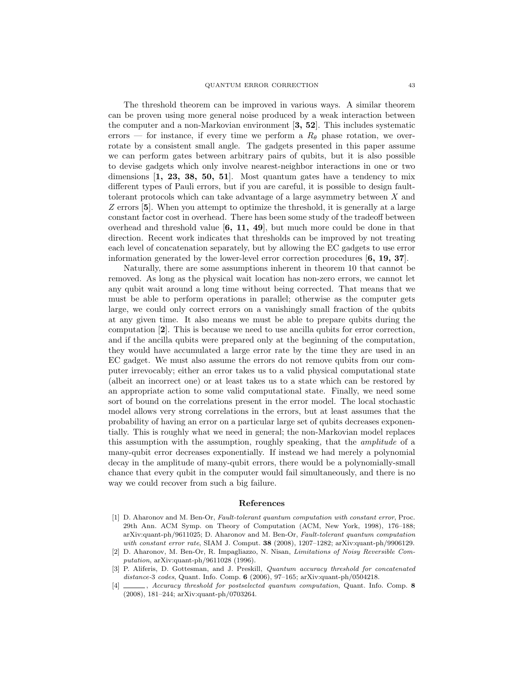The threshold theorem can be improved in various ways. A similar theorem can be proven using more general noise produced by a weak interaction between the computer and a non-Markovian environment [3, 52]. This includes systematic errors — for instance, if every time we perform a  $R_{\theta}$  phase rotation, we overrotate by a consistent small angle. The gadgets presented in this paper assume we can perform gates between arbitrary pairs of qubits, but it is also possible to devise gadgets which only involve nearest-neighbor interactions in one or two dimensions  $\begin{bmatrix} 1, 23, 38, 50, 51 \end{bmatrix}$ . Most quantum gates have a tendency to mix different types of Pauli errors, but if you are careful, it is possible to design faulttolerant protocols which can take advantage of a large asymmetry between  $X$  and Z errors [5]. When you attempt to optimize the threshold, it is generally at a large constant factor cost in overhead. There has been some study of the tradeoff between overhead and threshold value [6, 11, 49], but much more could be done in that direction. Recent work indicates that thresholds can be improved by not treating each level of concatenation separately, but by allowing the EC gadgets to use error information generated by the lower-level error correction procedures [6, 19, 37].

Naturally, there are some assumptions inherent in theorem 10 that cannot be removed. As long as the physical wait location has non-zero errors, we cannot let any qubit wait around a long time without being corrected. That means that we must be able to perform operations in parallel; otherwise as the computer gets large, we could only correct errors on a vanishingly small fraction of the qubits at any given time. It also means we must be able to prepare qubits during the computation [2]. This is because we need to use ancilla qubits for error correction, and if the ancilla qubits were prepared only at the beginning of the computation, they would have accumulated a large error rate by the time they are used in an EC gadget. We must also assume the errors do not remove qubits from our computer irrevocably; either an error takes us to a valid physical computational state (albeit an incorrect one) or at least takes us to a state which can be restored by an appropriate action to some valid computational state. Finally, we need some sort of bound on the correlations present in the error model. The local stochastic model allows very strong correlations in the errors, but at least assumes that the probability of having an error on a particular large set of qubits decreases exponentially. This is roughly what we need in general; the non-Markovian model replaces this assumption with the assumption, roughly speaking, that the amplitude of a many-qubit error decreases exponentially. If instead we had merely a polynomial decay in the amplitude of many-qubit errors, there would be a polynomially-small chance that every qubit in the computer would fail simultaneously, and there is no way we could recover from such a big failure.

### References

- [1] D. Aharonov and M. Ben-Or, Fault-tolerant quantum computation with constant error, Proc. 29th Ann. ACM Symp. on Theory of Computation (ACM, New York, 1998), 176–188; arXiv:quant-ph/9611025; D. Aharonov and M. Ben-Or, Fault-tolerant quantum computation with constant error rate, SIAM J. Comput. **38** (2008), 1207–1282; arXiv:quant-ph/9906129.
- [2] D. Aharonov, M. Ben-Or, R. Impagliazzo, N. Nisan, Limitations of Noisy Reversible Computation, arXiv:quant-ph/9611028 (1996).
- [3] P. Aliferis, D. Gottesman, and J. Preskill, Quantum accuracy threshold for concatenated distance-3 codes, Quant. Info. Comp. 6 (2006), 97–165; arXiv:quant-ph/0504218.
- [4]  $\Box$ , Accuracy threshold for postselected quantum computation, Quant. Info. Comp. 8 (2008), 181–244; arXiv:quant-ph/0703264.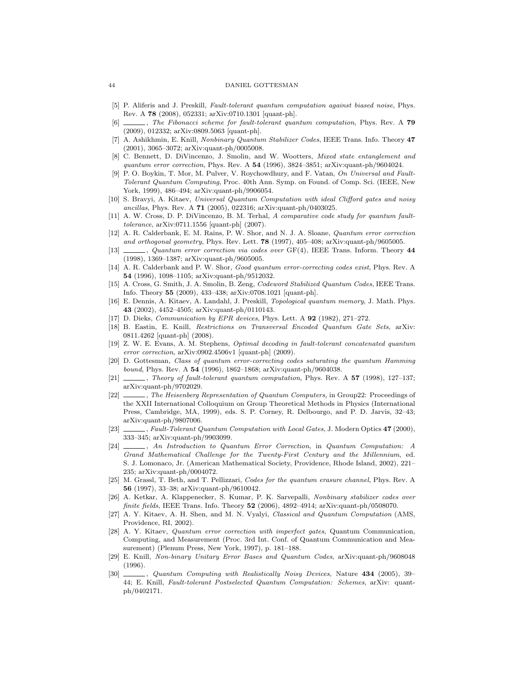- [5] P. Aliferis and J. Preskill, Fault-tolerant quantum computation against biased noise, Phys. Rev. A 78 (2008), 052331; arXiv:0710.1301 [quant-ph].
- [6]  $\qquad \qquad$ , The Fibonacci scheme for fault-tolerant quantum computation, Phys. Rev. A 79 (2009), 012332; arXiv:0809.5063 [quant-ph].
- [7] A. Ashikhmin, E. Knill, Nonbinary Quantum Stabilizer Codes, IEEE Trans. Info. Theory 47 (2001), 3065–3072; arXiv:quant-ph/0005008.
- [8] C. Bennett, D. DiVincenzo, J. Smolin, and W. Wootters, Mixed state entanglement and quantum error correction, Phys. Rev.  $A$  54 (1996), 3824–3851; arXiv:quant-ph/9604024.
- [9] P. O. Boykin, T. Mor, M. Pulver, V. Roychowdhury, and F. Vatan, On Universal and Fault-Tolerant Quantum Computing, Proc. 40th Ann. Symp. on Found. of Comp. Sci. (IEEE, New York, 1999), 486–494; arXiv:quant-ph/9906054.
- [10] S. Bravyi, A. Kitaev, Universal Quantum Computation with ideal Clifford gates and noisy ancillas, Phys. Rev. A 71 (2005), 022316; arXiv:quant-ph/0403025.
- [11] A. W. Cross, D. P. DiVincenzo, B. M. Terhal, A comparative code study for quantum faulttolerance, arXiv:0711.1556 [quant-ph] (2007).
- [12] A. R. Calderbank, E. M. Rains, P. W. Shor, and N. J. A. Sloane, Quantum error correction and orthogonal geometry, Phys. Rev. Lett. 78 (1997), 405–408; arXiv:quant-ph/9605005.
- [13] , Quantum error correction via codes over GF(4), IEEE Trans. Inform. Theory 44 (1998), 1369–1387; arXiv:quant-ph/9605005.
- [14] A. R. Calderbank and P. W. Shor, Good quantum error-correcting codes exist, Phys. Rev. A 54 (1996), 1098–1105; arXiv:quant-ph/9512032.
- [15] A. Cross, G. Smith, J. A. Smolin, B. Zeng, Codeword Stabilized Quantum Codes, IEEE Trans. Info. Theory 55 (2009), 433–438; arXiv:0708.1021 [quant-ph].
- [16] E. Dennis, A. Kitaev, A. Landahl, J. Preskill, Topological quantum memory, J. Math. Phys. 43 (2002), 4452–4505; arXiv:quant-ph/0110143.
- [17] D. Dieks, Communication by EPR devices, Phys. Lett. A 92 (1982), 271–272.
- [18] B. Eastin, E. Knill, Restrictions on Transversal Encoded Quantum Gate Sets, arXiv: 0811.4262 [quant-ph] (2008).
- [19] Z. W. E. Evans, A. M. Stephens, Optimal decoding in fault-tolerant concatenated quantum error correction, arXiv:0902.4506v1 [quant-ph] (2009).
- [20] D. Gottesman, Class of quantum error-correcting codes saturating the quantum Hamming bound, Phys. Rev. A 54 (1996), 1862–1868; arXiv:quant-ph/9604038.
- [21]  $\qquad \qquad$ , Theory of fault-tolerant quantum computation, Phys. Rev. A 57 (1998), 127-137; arXiv:quant-ph/9702029.
- [22]  $\_\_\_\_\$ , The Heisenberg Representation of Quantum Computers, in Group22: Proceedings of the XXII International Colloquium on Group Theoretical Methods in Physics (International Press, Cambridge, MA, 1999), eds. S. P. Corney, R. Delbourgo, and P. D. Jarvis, 32–43; arXiv:quant-ph/9807006.
- [23] , Fault-Tolerant Quantum Computation with Local Gates, J. Modern Optics 47 (2000), 333–345; arXiv:quant-ph/9903099.
- [24] , An Introduction to Quantum Error Correction, in Quantum Computation: A Grand Mathematical Challenge for the Twenty-First Century and the Millennium, ed. S. J. Lomonaco, Jr. (American Mathematical Society, Providence, Rhode Island, 2002), 221– 235; arXiv:quant-ph/0004072.
- [25] M. Grassl, T. Beth, and T. Pellizzari, Codes for the quantum erasure channel, Phys. Rev. A 56 (1997), 33–38; arXiv:quant-ph/9610042.
- [26] A. Ketkar, A. Klappenecker, S. Kumar, P. K. Sarvepalli, Nonbinary stabilizer codes over finite fields, IEEE Trans. Info. Theory 52 (2006), 4892–4914; arXiv:quant-ph/0508070.
- [27] A. Y. Kitaev, A. H. Shen, and M. N. Vyalyi, Classical and Quantum Computation (AMS, Providence, RI, 2002).
- [28] A. Y. Kitaev, Quantum error correction with imperfect gates, Quantum Communication, Computing, and Measurement (Proc. 3rd Int. Conf. of Quantum Communication and Measurement) (Plenum Press, New York, 1997), p. 181–188.
- [29] E. Knill, Non-binary Unitary Error Bases and Quantum Codes, arXiv:quant-ph/9608048 (1996).
- [30]  $\_\_\_\_\$ , Quantum Computing with Realistically Noisy Devices, Nature 434 (2005), 39– 44; E. Knill, Fault-tolerant Postselected Quantum Computation: Schemes, arXiv: quantph/0402171.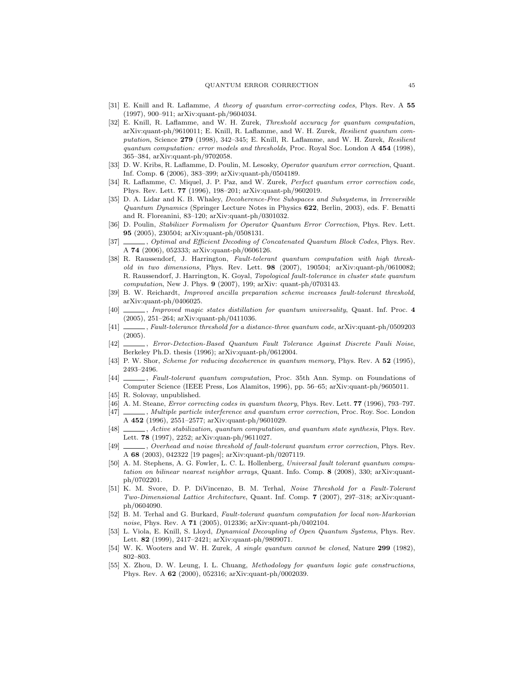- [31] E. Knill and R. Laflamme, A theory of quantum error-correcting codes, Phys. Rev. A 55 (1997), 900–911; arXiv:quant-ph/9604034.
- [32] E. Knill, R. Laflamme, and W. H. Zurek, Threshold accuracy for quantum computation, arXiv:quant-ph/9610011; E. Knill, R. Laflamme, and W. H. Zurek, Resilient quantum computation, Science 279 (1998), 342-345; E. Knill, R. Laflamme, and W. H. Zurek, Resilient quantum computation: error models and thresholds, Proc. Royal Soc. London A 454 (1998), 365–384, arXiv:quant-ph/9702058.
- [33] D. W. Kribs, R. Laflamme, D. Poulin, M. Lesosky, Operator quantum error correction, Quant. Inf. Comp. 6 (2006), 383–399; arXiv:quant-ph/0504189.
- [34] R. Laflamme, C. Miquel, J. P. Paz, and W. Zurek, Perfect quantum error correction code, Phys. Rev. Lett. 77 (1996), 198–201; arXiv:quant-ph/9602019.
- [35] D. A. Lidar and K. B. Whaley, Decoherence-Free Subspaces and Subsystems, in Irreversible Quantum Dynamics (Springer Lecture Notes in Physics 622, Berlin, 2003), eds. F. Benatti and R. Floreanini, 83–120; arXiv:quant-ph/0301032.
- [36] D. Poulin, Stabilizer Formalism for Operator Quantum Error Correction, Phys. Rev. Lett. 95 (2005), 230504; arXiv:quant-ph/0508131.
- [37] , Optimal and Efficient Decoding of Concatenated Quantum Block Codes, Phys. Rev. A 74 (2006), 052333; arXiv:quant-ph/0606126.
- [38] R. Raussendorf, J. Harrington, Fault-tolerant quantum computation with high threshold in two dimensions, Phys. Rev. Lett. 98 (2007), 190504; arXiv:quant-ph/0610082; R. Raussendorf, J. Harrington, K. Goyal, Topological fault-tolerance in cluster state quantum computation, New J. Phys. 9 (2007), 199; arXiv: quant-ph/0703143.
- [39] B. W. Reichardt, Improved ancilla preparation scheme increases fault-tolerant threshold, arXiv:quant-ph/0406025.
- [40]  $\qquad \qquad$ , Improved magic states distillation for quantum universality, Quant. Inf. Proc. 4 (2005), 251–264; arXiv:quant-ph/0411036.
- [41] , Fault-tolerance threshold for a distance-three quantum code, arXiv:quant-ph/0509203 (2005).
- [42] , Error-Detection-Based Quantum Fault Tolerance Against Discrete Pauli Noise, Berkeley Ph.D. thesis (1996); arXiv:quant-ph/0612004.
- [43] P. W. Shor, *Scheme for reducing decoherence in quantum memory*, Phys. Rev. A 52 (1995), 2493–2496.
- [44]  $\frac{1}{4}$   $\frac{1}{4}$   $\frac{1}{4}$ , Fault-tolerant quantum computation, Proc. 35th Ann. Symp. on Foundations of Computer Science (IEEE Press, Los Alamitos, 1996), pp. 56–65; arXiv:quant-ph/9605011.
- [45] R. Solovay, unpublished.
- [46] A. M. Steane, Error correcting codes in quantum theory, Phys. Rev. Lett. 77 (1996), 793–797.
- [47] , Multiple particle interference and quantum error correction, Proc. Roy. Soc. London A 452 (1996), 2551–2577; arXiv:quant-ph/9601029.
- [48] , Active stabilization, quantum computation, and quantum state synthesis, Phys. Rev. Lett. 78 (1997), 2252; arXiv:quan-ph/9611027.
- [49] , Overhead and noise threshold of fault-tolerant quantum error correction, Phys. Rev. A 68 (2003), 042322 [19 pages]; arXiv:quant-ph/0207119.
- [50] A. M. Stephens, A. G. Fowler, L. C. L. Hollenberg, Universal fault tolerant quantum computation on bilinear nearest neighbor arrays, Quant. Info. Comp. 8 (2008), 330; arXiv:quantph/0702201.
- [51] K. M. Svore, D. P. DiVincenzo, B. M. Terhal, Noise Threshold for a Fault-Tolerant Two-Dimensional Lattice Architecture, Quant. Inf. Comp. 7 (2007), 297–318; arXiv:quantph/0604090.
- [52] B. M. Terhal and G. Burkard, Fault-tolerant quantum computation for local non-Markovian noise, Phys. Rev. A 71 (2005), 012336; arXiv:quant-ph/0402104.
- [53] L. Viola, E. Knill, S. Lloyd, Dynamical Decoupling of Open Quantum Systems, Phys. Rev. Lett. 82 (1999), 2417–2421; arXiv:quant-ph/9809071.
- [54] W. K. Wooters and W. H. Zurek, A single quantum cannot be cloned, Nature 299 (1982), 802–803.
- [55] X. Zhou, D. W. Leung, I. L. Chuang, Methodology for quantum logic gate constructions, Phys. Rev. A 62 (2000), 052316; arXiv:quant-ph/0002039.